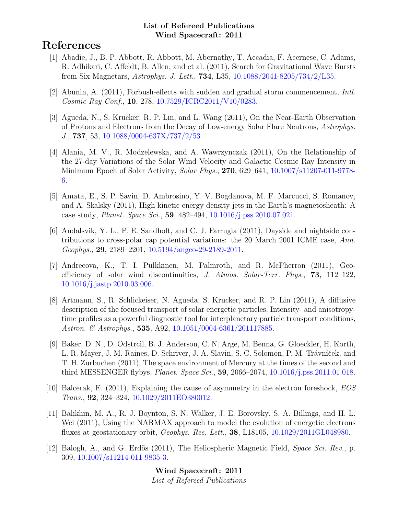# References

- [1] Abadie, J., B. P. Abbott, R. Abbott, M. Abernathy, T. Accadia, F. Acernese, C. Adams, R. Adhikari, C. Affeldt, B. Allen, and et al. (2011), Search for Gravitational Wave Bursts from Six Magnetars, Astrophys. J. Lett., 734, L35, [10.1088/2041-8205/734/2/L35.](http://dx.doi.org/10.1088/2041-8205/734/2/L35)
- [2] Abunin, A. (2011), Forbush-effects with sudden and gradual storm commencement, Intl. Cosmic Ray Conf., 10, 278, [10.7529/ICRC2011/V10/0283.](http://dx.doi.org/10.7529/ICRC2011/V10/0283)
- [3] Agueda, N., S. Krucker, R. P. Lin, and L. Wang (2011), On the Near-Earth Observation of Protons and Electrons from the Decay of Low-energy Solar Flare Neutrons, Astrophys. J., 737, 53, [10.1088/0004-637X/737/2/53.](http://dx.doi.org/10.1088/0004-637X/737/2/53)
- [4] Alania, M. V., R. Modzelewska, and A. Wawrzynczak (2011), On the Relationship of the 27-day Variations of the Solar Wind Velocity and Galactic Cosmic Ray Intensity in Minimum Epoch of Solar Activity, Solar Phys., 270, 629–641, [10.1007/s11207-011-9778-](http://dx.doi.org/10.1007/s11207-011-9778-6) [6.](http://dx.doi.org/10.1007/s11207-011-9778-6)
- [5] Amata, E., S. P. Savin, D. Ambrosino, Y. V. Bogdanova, M. F. Marcucci, S. Romanov, and A. Skalsky (2011), High kinetic energy density jets in the Earth's magnetosheath: A case study, Planet. Space Sci., 59, 482–494, [10.1016/j.pss.2010.07.021.](http://dx.doi.org/10.1016/j.pss.2010.07.021)
- [6] Andalsvik, Y. L., P. E. Sandholt, and C. J. Farrugia (2011), Dayside and nightside contributions to cross-polar cap potential variations: the 20 March 2001 ICME case, Ann. Geophys., 29, 2189–2201, [10.5194/angeo-29-2189-2011.](http://dx.doi.org/10.5194/angeo-29-2189-2011)
- [7] Andreeova, K., T. I. Pulkkinen, M. Palmroth, and R. McPherron (2011), Geoefficiency of solar wind discontinuities, J. Atmos. Solar-Terr. Phys., 73, 112–122, [10.1016/j.jastp.2010.03.006.](http://dx.doi.org/10.1016/j.jastp.2010.03.006)
- [8] Artmann, S., R. Schlickeiser, N. Agueda, S. Krucker, and R. P. Lin (2011), A diffusive description of the focused transport of solar energetic particles. Intensity- and anisotropytime profiles as a powerful diagnostic tool for interplanetary particle transport conditions, Astron. & Astrophys., **535**, A92, [10.1051/0004-6361/201117885.](http://dx.doi.org/10.1051/0004-6361/201117885)
- [9] Baker, D. N., D. Odstrcil, B. J. Anderson, C. N. Arge, M. Benna, G. Gloeckler, H. Korth, L. R. Mayer, J. M. Raines, D. Schriver, J. A. Slavin, S. C. Solomon, P. M. Trávníček, and T. H. Zurbuchen (2011), The space environment of Mercury at the times of the second and third MESSENGER flybys, Planet. Space Sci., 59, 2066–2074, [10.1016/j.pss.2011.01.018.](http://dx.doi.org/10.1016/j.pss.2011.01.018)
- [10] Balcerak, E. (2011), Explaining the cause of asymmetry in the electron foreshock, EOS Trans., 92, 324–324, [10.1029/2011EO380012.](http://dx.doi.org/10.1029/2011EO380012)
- [11] Balikhin, M. A., R. J. Boynton, S. N. Walker, J. E. Borovsky, S. A. Billings, and H. L. Wei (2011), Using the NARMAX approach to model the evolution of energetic electrons fluxes at geostationary orbit, Geophys. Res. Lett., 38, L18105, [10.1029/2011GL048980.](http://dx.doi.org/10.1029/2011GL048980)
- [12] Balogh, A., and G. Erdõs (2011), The Heliospheric Magnetic Field, Space Sci. Rev., p. 309, [10.1007/s11214-011-9835-3.](http://dx.doi.org/10.1007/s11214-011-9835-3)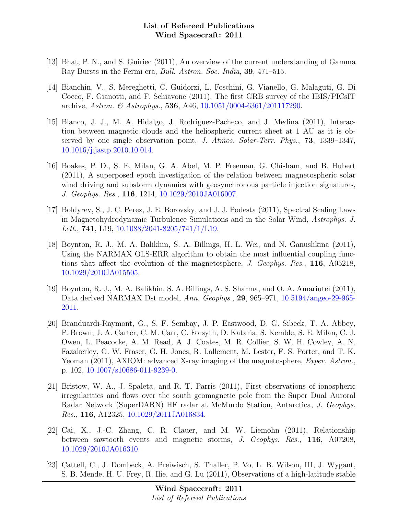- [13] Bhat, P. N., and S. Guiriec (2011), An overview of the current understanding of Gamma Ray Bursts in the Fermi era, Bull. Astron. Soc. India, 39, 471–515.
- [14] Bianchin, V., S. Mereghetti, C. Guidorzi, L. Foschini, G. Vianello, G. Malaguti, G. Di Cocco, F. Gianotti, and F. Schiavone (2011), The first GRB survey of the IBIS/PICsIT archive, Astron. & Astrophys., 536, A46, [10.1051/0004-6361/201117290.](http://dx.doi.org/10.1051/0004-6361/201117290)
- [15] Blanco, J. J., M. A. Hidalgo, J. Rodriguez-Pacheco, and J. Medina (2011), Interaction between magnetic clouds and the heliospheric current sheet at 1 AU as it is observed by one single observation point, J. Atmos. Solar-Terr. Phys., 73, 1339–1347, [10.1016/j.jastp.2010.10.014.](http://dx.doi.org/10.1016/j.jastp.2010.10.014)
- [16] Boakes, P. D., S. E. Milan, G. A. Abel, M. P. Freeman, G. Chisham, and B. Hubert (2011), A superposed epoch investigation of the relation between magnetospheric solar wind driving and substorm dynamics with geosynchronous particle injection signatures, J. Geophys. Res., 116, 1214, [10.1029/2010JA016007.](http://dx.doi.org/10.1029/2010JA016007)
- [17] Boldyrev, S., J. C. Perez, J. E. Borovsky, and J. J. Podesta (2011), Spectral Scaling Laws in Magnetohydrodynamic Turbulence Simulations and in the Solar Wind, Astrophys. J. Lett., **741**, L19,  $10.1088/2041-8205/741/1/L19$ .
- [18] Boynton, R. J., M. A. Balikhin, S. A. Billings, H. L. Wei, and N. Ganushkina (2011), Using the NARMAX OLS-ERR algorithm to obtain the most influential coupling functions that affect the evolution of the magnetosphere, J. Geophys. Res., 116, A05218, [10.1029/2010JA015505.](http://dx.doi.org/10.1029/2010JA015505)
- [19] Boynton, R. J., M. A. Balikhin, S. A. Billings, A. S. Sharma, and O. A. Amariutei (2011), Data derived NARMAX Dst model, Ann. Geophys., 29, 965–971, [10.5194/angeo-29-965-](http://dx.doi.org/10.5194/angeo-29-965-2011) [2011.](http://dx.doi.org/10.5194/angeo-29-965-2011)
- [20] Branduardi-Raymont, G., S. F. Sembay, J. P. Eastwood, D. G. Sibeck, T. A. Abbey, P. Brown, J. A. Carter, C. M. Carr, C. Forsyth, D. Kataria, S. Kemble, S. E. Milan, C. J. Owen, L. Peacocke, A. M. Read, A. J. Coates, M. R. Collier, S. W. H. Cowley, A. N. Fazakerley, G. W. Fraser, G. H. Jones, R. Lallement, M. Lester, F. S. Porter, and T. K. Yeoman (2011), AXIOM: advanced X-ray imaging of the magnetosphere, *Exper. Astron.*, p. 102, [10.1007/s10686-011-9239-0.](http://dx.doi.org/10.1007/s10686-011-9239-0)
- [21] Bristow, W. A., J. Spaleta, and R. T. Parris (2011), First observations of ionospheric irregularities and flows over the south geomagnetic pole from the Super Dual Auroral Radar Network (SuperDARN) HF radar at McMurdo Station, Antarctica, J. Geophys. Res., 116, A12325, [10.1029/2011JA016834.](http://dx.doi.org/10.1029/2011JA016834)
- [22] Cai, X., J.-C. Zhang, C. R. Clauer, and M. W. Liemohn (2011), Relationship between sawtooth events and magnetic storms, J. Geophys. Res., 116, A07208, [10.1029/2010JA016310.](http://dx.doi.org/10.1029/2010JA016310)
- [23] Cattell, C., J. Dombeck, A. Preiwisch, S. Thaller, P. Vo, L. B. Wilson, III, J. Wygant, S. B. Mende, H. U. Frey, R. Ilie, and G. Lu (2011), Observations of a high-latitude stable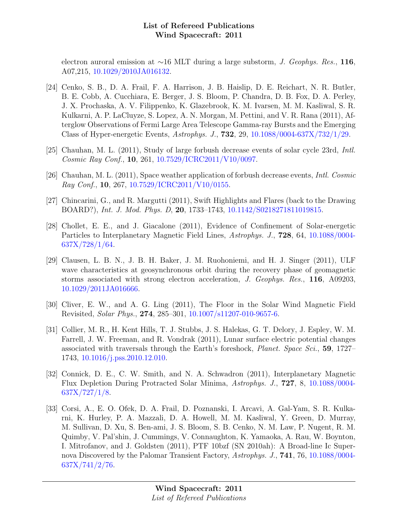electron auroral emission at ∼16 MLT during a large substorm, *J. Geophys. Res.*, 116, A07,215, [10.1029/2010JA016132.](http://dx.doi.org/10.1029/2010JA016132)

- [24] Cenko, S. B., D. A. Frail, F. A. Harrison, J. B. Haislip, D. E. Reichart, N. R. Butler, B. E. Cobb, A. Cucchiara, E. Berger, J. S. Bloom, P. Chandra, D. B. Fox, D. A. Perley, J. X. Prochaska, A. V. Filippenko, K. Glazebrook, K. M. Ivarsen, M. M. Kasliwal, S. R. Kulkarni, A. P. LaCluyze, S. Lopez, A. N. Morgan, M. Pettini, and V. R. Rana (2011), Afterglow Observations of Fermi Large Area Telescope Gamma-ray Bursts and the Emerging Class of Hyper-energetic Events, Astrophys. J., 732, 29, [10.1088/0004-637X/732/1/29.](http://dx.doi.org/10.1088/0004-637X/732/1/29)
- [25] Chauhan, M. L. (2011), Study of large forbush decrease events of solar cycle 23rd, Intl. Cosmic Ray Conf., 10, 261, [10.7529/ICRC2011/V10/0097.](http://dx.doi.org/10.7529/ICRC2011/V10/0097)
- [26] Chauhan, M. L. (2011), Space weather application of forbush decrease events, Intl. Cosmic Ray Conf., 10, 267, [10.7529/ICRC2011/V10/0155.](http://dx.doi.org/10.7529/ICRC2011/V10/0155)
- [27] Chincarini, G., and R. Margutti (2011), Swift Highlights and Flares (back to the Drawing BOARD?), Int. J. Mod. Phys. D, 20, 1733–1743, [10.1142/S0218271811019815.](http://dx.doi.org/10.1142/S0218271811019815)
- [28] Chollet, E. E., and J. Giacalone (2011), Evidence of Confinement of Solar-energetic Particles to Interplanetary Magnetic Field Lines, Astrophys. J., 728, 64, [10.1088/0004-](http://dx.doi.org/10.1088/0004-637X/728/1/64) [637X/728/1/64.](http://dx.doi.org/10.1088/0004-637X/728/1/64)
- [29] Clausen, L. B. N., J. B. H. Baker, J. M. Ruohoniemi, and H. J. Singer (2011), ULF wave characteristics at geosynchronous orbit during the recovery phase of geomagnetic storms associated with strong electron acceleration, J. Geophys. Res., 116, A09203, [10.1029/2011JA016666.](http://dx.doi.org/10.1029/2011JA016666)
- [30] Cliver, E. W., and A. G. Ling (2011), The Floor in the Solar Wind Magnetic Field Revisited, Solar Phys., 274, 285–301, [10.1007/s11207-010-9657-6.](http://dx.doi.org/10.1007/s11207-010-9657-6)
- [31] Collier, M. R., H. Kent Hills, T. J. Stubbs, J. S. Halekas, G. T. Delory, J. Espley, W. M. Farrell, J. W. Freeman, and R. Vondrak (2011), Lunar surface electric potential changes associated with traversals through the Earth's foreshock, Planet. Space Sci., 59, 1727– 1743, [10.1016/j.pss.2010.12.010.](http://dx.doi.org/10.1016/j.pss.2010.12.010)
- [32] Connick, D. E., C. W. Smith, and N. A. Schwadron (2011), Interplanetary Magnetic Flux Depletion During Protracted Solar Minima, Astrophys. J., 727, 8, [10.1088/0004-](http://dx.doi.org/10.1088/0004-637X/727/1/8)  $637X/727/1/8.$
- [33] Corsi, A., E. O. Ofek, D. A. Frail, D. Poznanski, I. Arcavi, A. Gal-Yam, S. R. Kulkarni, K. Hurley, P. A. Mazzali, D. A. Howell, M. M. Kasliwal, Y. Green, D. Murray, M. Sullivan, D. Xu, S. Ben-ami, J. S. Bloom, S. B. Cenko, N. M. Law, P. Nugent, R. M. Quimby, V. Pal'shin, J. Cummings, V. Connaughton, K. Yamaoka, A. Rau, W. Boynton, I. Mitrofanov, and J. Goldsten (2011), PTF 10bzf (SN 2010ah): A Broad-line Ic Supernova Discovered by the Palomar Transient Factory, Astrophys. J., 741, 76, [10.1088/0004-](http://dx.doi.org/10.1088/0004-637X/741/2/76) [637X/741/2/76.](http://dx.doi.org/10.1088/0004-637X/741/2/76)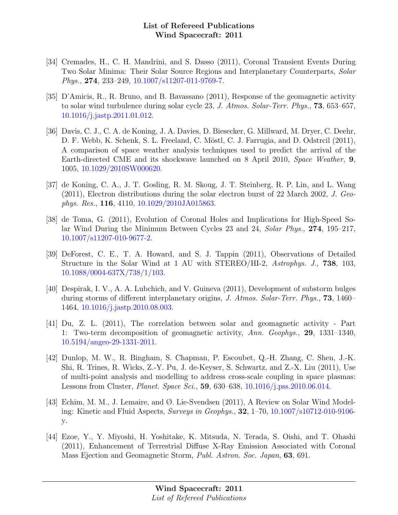- [34] Cremades, H., C. H. Mandrini, and S. Dasso (2011), Coronal Transient Events During Two Solar Minima: Their Solar Source Regions and Interplanetary Counterparts, Solar Phys., 274, 233–249, [10.1007/s11207-011-9769-7.](http://dx.doi.org/10.1007/s11207-011-9769-7)
- [35] D'Amicis, R., R. Bruno, and B. Bavassano (2011), Response of the geomagnetic activity to solar wind turbulence during solar cycle 23, J. Atmos. Solar-Terr. Phys., 73, 653–657, [10.1016/j.jastp.2011.01.012.](http://dx.doi.org/10.1016/j.jastp.2011.01.012)
- [36] Davis, C. J., C. A. de Koning, J. A. Davies, D. Biesecker, G. Millward, M. Dryer, C. Deehr, D. F. Webb, K. Schenk, S. L. Freeland, C. Möstl, C. J. Farrugia, and D. Odstrcil (2011), A comparison of space weather analysis techniques used to predict the arrival of the Earth-directed CME and its shockwave launched on 8 April 2010, Space Weather, 9, 1005, [10.1029/2010SW000620.](http://dx.doi.org/10.1029/2010SW000620)
- [37] de Koning, C. A., J. T. Gosling, R. M. Skoug, J. T. Steinberg, R. P. Lin, and L. Wang (2011), Electron distributions during the solar electron burst of 22 March 2002, J. Geophys. Res., 116, 4110, [10.1029/2010JA015863.](http://dx.doi.org/10.1029/2010JA015863)
- [38] de Toma, G. (2011), Evolution of Coronal Holes and Implications for High-Speed Solar Wind During the Minimum Between Cycles 23 and 24, Solar Phys., 274, 195–217, [10.1007/s11207-010-9677-2.](http://dx.doi.org/10.1007/s11207-010-9677-2)
- [39] DeForest, C. E., T. A. Howard, and S. J. Tappin (2011), Observations of Detailed Structure in the Solar Wind at 1 AU with STEREO/HI-2, Astrophys. J., 738, 103, [10.1088/0004-637X/738/1/103.](http://dx.doi.org/10.1088/0004-637X/738/1/103)
- [40] Despirak, I. V., A. A. Lubchich, and V. Guineva (2011), Development of substorm bulges during storms of different interplanetary origins, J. Atmos. Solar-Terr. Phys., 73, 1460– 1464, [10.1016/j.jastp.2010.08.003.](http://dx.doi.org/10.1016/j.jastp.2010.08.003)
- [41] Du, Z. L. (2011), The correlation between solar and geomagnetic activity Part 1: Two-term decomposition of geomagnetic activity, Ann. Geophys., 29, 1331–1340, [10.5194/angeo-29-1331-2011.](http://dx.doi.org/10.5194/angeo-29-1331-2011)
- [42] Dunlop, M. W., R. Bingham, S. Chapman, P. Escoubet, Q.-H. Zhang, C. Shen, J.-K. Shi, R. Trines, R. Wicks, Z.-Y. Pu, J. de-Keyser, S. Schwartz, and Z.-X. Liu (2011), Use of multi-point analysis and modelling to address cross-scale coupling in space plasmas: Lessons from Cluster, Planet. Space Sci., 59, 630–638, [10.1016/j.pss.2010.06.014.](http://dx.doi.org/10.1016/j.pss.2010.06.014)
- [43] Echim, M. M., J. Lemaire, and Ø. Lie-Svendsen (2011), A Review on Solar Wind Modeling: Kinetic and Fluid Aspects, Surveys in Geophys., 32, 1–70, [10.1007/s10712-010-9106](http://dx.doi.org/10.1007/s10712-010-9106-y) [y.](http://dx.doi.org/10.1007/s10712-010-9106-y)
- [44] Ezoe, Y., Y. Miyoshi, H. Yoshitake, K. Mitsuda, N. Terada, S. Oishi, and T. Ohashi (2011), Enhancement of Terrestrial Diffuse X-Ray Emission Associated with Coronal Mass Ejection and Geomagnetic Storm, Publ. Astron. Soc. Japan, 63, 691.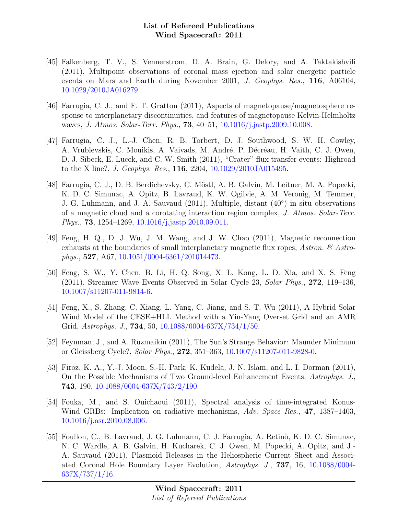- [45] Falkenberg, T. V., S. Vennerstrom, D. A. Brain, G. Delory, and A. Taktakishvili (2011), Multipoint observations of coronal mass ejection and solar energetic particle events on Mars and Earth during November 2001, J. Geophys. Res., 116, A06104, [10.1029/2010JA016279.](http://dx.doi.org/10.1029/2010JA016279)
- [46] Farrugia, C. J., and F. T. Gratton (2011), Aspects of magnetopause/magnetosphere response to interplanetary discontinuities, and features of magnetopause Kelvin-Helmholtz waves, *J. Atmos. Solar-Terr. Phys.*, **73**, 40–51, [10.1016/j.jastp.2009.10.008.](http://dx.doi.org/10.1016/j.jastp.2009.10.008)
- [47] Farrugia, C. J., L.-J. Chen, R. B. Torbert, D. J. Southwood, S. W. H. Cowley, A. Vrublevskis, C. Mouikis, A. Vaivads, M. André, P. Décréau, H. Vaith, C. J. Owen, D. J. Sibeck, E. Lucek, and C. W. Smith (2011), "Crater" flux transfer events: Highroad to the X line?, J. Geophys. Res., 116, 2204, [10.1029/2010JA015495.](http://dx.doi.org/10.1029/2010JA015495)
- [48] Farrugia, C. J., D. B. Berdichevsky, C. M¨ostl, A. B. Galvin, M. Leitner, M. A. Popecki, K. D. C. Simunac, A. Opitz, B. Lavraud, K. W. Ogilvie, A. M. Veronig, M. Temmer, J. G. Luhmann, and J. A. Sauvaud (2011), Multiple, distant (40◦ ) in situ observations of a magnetic cloud and a corotating interaction region complex, J. Atmos. Solar-Terr. Phys., **73**, 1254–1269, [10.1016/j.jastp.2010.09.011.](http://dx.doi.org/10.1016/j.jastp.2010.09.011)
- [49] Feng, H. Q., D. J. Wu, J. M. Wang, and J. W. Chao (2011), Magnetic reconnection exhausts at the boundaries of small interplanetary magnetic flux ropes, Astron.  $\mathcal{C}$  Astrophys., 527, A67, [10.1051/0004-6361/201014473.](http://dx.doi.org/10.1051/0004-6361/201014473)
- [50] Feng, S. W., Y. Chen, B. Li, H. Q. Song, X. L. Kong, L. D. Xia, and X. S. Feng (2011), Streamer Wave Events Observed in Solar Cycle 23, Solar Phys., 272, 119–136, [10.1007/s11207-011-9814-6.](http://dx.doi.org/10.1007/s11207-011-9814-6)
- [51] Feng, X., S. Zhang, C. Xiang, L. Yang, C. Jiang, and S. T. Wu (2011), A Hybrid Solar Wind Model of the CESE+HLL Method with a Yin-Yang Overset Grid and an AMR Grid, Astrophys. J., 734, 50, [10.1088/0004-637X/734/1/50.](http://dx.doi.org/10.1088/0004-637X/734/1/50)
- [52] Feynman, J., and A. Ruzmaikin (2011), The Sun's Strange Behavior: Maunder Minimum or Gleissberg Cycle?, Solar Phys., 272, 351–363, [10.1007/s11207-011-9828-0.](http://dx.doi.org/10.1007/s11207-011-9828-0)
- [53] Firoz, K. A., Y.-J. Moon, S.-H. Park, K. Kudela, J. N. Islam, and L. I. Dorman (2011), On the Possible Mechanisms of Two Ground-level Enhancement Events, Astrophys. J., 743, 190, [10.1088/0004-637X/743/2/190.](http://dx.doi.org/10.1088/0004-637X/743/2/190)
- [54] Fouka, M., and S. Ouichaoui (2011), Spectral analysis of time-integrated Konus-Wind GRBs: Implication on radiative mechanisms, Adv. Space Res., 47, 1387–1403, [10.1016/j.asr.2010.08.006.](http://dx.doi.org/10.1016/j.asr.2010.08.006)
- [55] Foullon, C., B. Lavraud, J. G. Luhmann, C. J. Farrugia, A. Retinò, K. D. C. Simunac, N. C. Wardle, A. B. Galvin, H. Kucharek, C. J. Owen, M. Popecki, A. Opitz, and J.- A. Sauvaud (2011), Plasmoid Releases in the Heliospheric Current Sheet and Associated Coronal Hole Boundary Layer Evolution, Astrophys. J., 737, 16, [10.1088/0004-](http://dx.doi.org/10.1088/0004-637X/737/1/16) [637X/737/1/16.](http://dx.doi.org/10.1088/0004-637X/737/1/16)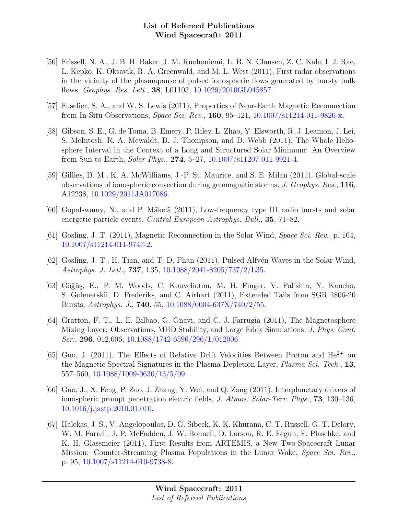- [56] Frissell, N. A., J. B. H. Baker, J. M. Ruohoniemi, L. B. N. Clausen, Z. C. Kale, I. J. Rae, L. Kepko, K. Oksavik, R. A. Greenwald, and M. L. West (2011), First radar observations in the vicinity of the plasmapause of pulsed ionospheric flows generated by bursty bulk flows, Geophys. Res. Lett., 38, L01103, [10.1029/2010GL045857.](http://dx.doi.org/10.1029/2010GL045857)
- [57] Fuselier, S. A., and W. S. Lewis (2011), Properties of Near-Earth Magnetic Reconnection from In-Situ Observations, Space Sci. Rev., 160, 95–121, [10.1007/s11214-011-9820-x.](http://dx.doi.org/10.1007/s11214-011-9820-x)
- [58] Gibson, S. E., G. de Toma, B. Emery, P. Riley, L. Zhao, Y. Elsworth, R. J. Leamon, J. Lei, S. McIntosh, R. A. Mewaldt, B. J. Thompson, and D. Webb (2011), The Whole Heliosphere Interval in the Context of a Long and Structured Solar Minimum: An Overview from Sun to Earth, Solar Phys., 274, 5–27, [10.1007/s11207-011-9921-4.](http://dx.doi.org/10.1007/s11207-011-9921-4)
- [59] Gillies, D. M., K. A. McWilliams, J.-P. St. Maurice, and S. E. Milan (2011), Global-scale observations of ionospheric convection during geomagnetic storms, J. Geophys. Res., 116, A12238, [10.1029/2011JA017086.](http://dx.doi.org/10.1029/2011JA017086)
- [60] Gopalswamy, N., and P. Mäkelä (2011), Low-frequency type III radio bursts and solar energetic particle events, Central European Astrophys. Bull., 35, 71–82.
- [61] Gosling, J. T. (2011), Magnetic Reconnection in the Solar Wind, Space Sci. Rev., p. 104, [10.1007/s11214-011-9747-2.](http://dx.doi.org/10.1007/s11214-011-9747-2)
- [62] Gosling, J. T., H. Tian, and T. D. Phan (2011), Pulsed Alfvén Waves in the Solar Wind, Astrophys. J. Lett., 737, L35, [10.1088/2041-8205/737/2/L35.](http://dx.doi.org/10.1088/2041-8205/737/2/L35)
- [63] Göğüş, E., P. M. Woods, C. Kouveliotou, M. H. Finger, V. Pal'shin, Y. Kaneko, S. Golenetskii, D. Frederiks, and C. Airhart (2011), Extended Tails from SGR 1806-20 Bursts, Astrophys. J., 740, 55, [10.1088/0004-637X/740/2/55.](http://dx.doi.org/10.1088/0004-637X/740/2/55)
- [64] Gratton, F. T., L. E. Bilbao, G. Gnavi, and C. J. Farrugia (2011), The Magnetosphere Mixing Layer: Observations, MHD Stability, and Large Eddy Simulations, J. Phys. Conf. Ser., **296**, 012,006, [10.1088/1742-6596/296/1/012006.](http://dx.doi.org/10.1088/1742-6596/296/1/012006)
- [65] Guo, J. (2011), The Effects of Relative Drift Velocities Between Proton and  $He^{2+}$  on the Magnetic Spectral Signatures in the Plasma Depletion Layer, Plasma Sci. Tech., 13, 557–560, [10.1088/1009-0630/13/5/09.](http://dx.doi.org/10.1088/1009-0630/13/5/09)
- [66] Guo, J., X. Feng, P. Zuo, J. Zhang, Y. Wei, and Q. Zong (2011), Interplanetary drivers of ionospheric prompt penetration electric fields, J. Atmos. Solar-Terr. Phys., 73, 130–136, [10.1016/j.jastp.2010.01.010.](http://dx.doi.org/10.1016/j.jastp.2010.01.010)
- [67] Halekas, J. S., V. Angelopoulos, D. G. Sibeck, K. K. Khurana, C. T. Russell, G. T. Delory, W. M. Farrell, J. P. McFadden, J. W. Bonnell, D. Larson, R. E. Ergun, F. Plaschke, and K. H. Glassmeier (2011), First Results from ARTEMIS, a New Two-Spacecraft Lunar Mission: Counter-Streaming Plasma Populations in the Lunar Wake, Space Sci. Rev., p. 95, [10.1007/s11214-010-9738-8.](http://dx.doi.org/10.1007/s11214-010-9738-8)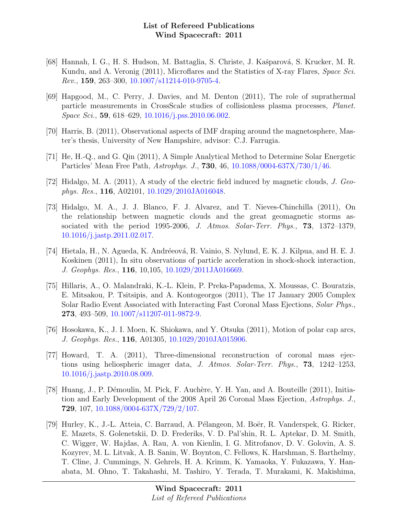- [68] Hannah, I. G., H. S. Hudson, M. Battaglia, S. Christe, J. Kašparová, S. Krucker, M. R. Kundu, and A. Veronig (2011), Microflares and the Statistics of X-ray Flares, Space Sci. Rev., 159, 263–300, [10.1007/s11214-010-9705-4.](http://dx.doi.org/10.1007/s11214-010-9705-4)
- [69] Hapgood, M., C. Perry, J. Davies, and M. Denton (2011), The role of suprathermal particle measurements in CrossScale studies of collisionless plasma processes, Planet. Space Sci., 59, 618–629, [10.1016/j.pss.2010.06.002.](http://dx.doi.org/10.1016/j.pss.2010.06.002)
- [70] Harris, B. (2011), Observational aspects of IMF draping around the magnetosphere, Master's thesis, University of New Hampshire, advisor: C.J. Farrugia.
- [71] He, H.-Q., and G. Qin (2011), A Simple Analytical Method to Determine Solar Energetic Particles' Mean Free Path, Astrophys. J., 730, 46, [10.1088/0004-637X/730/1/46.](http://dx.doi.org/10.1088/0004-637X/730/1/46)
- [72] Hidalgo, M. A. (2011), A study of the electric field induced by magnetic clouds, J. Geophys. Res., 116, A02101, [10.1029/2010JA016048.](http://dx.doi.org/10.1029/2010JA016048)
- [73] Hidalgo, M. A., J. J. Blanco, F. J. Alvarez, and T. Nieves-Chinchilla (2011), On the relationship between magnetic clouds and the great geomagnetic storms associated with the period 1995-2006, J. Atmos. Solar-Terr. Phys., 73, 1372–1379, [10.1016/j.jastp.2011.02.017.](http://dx.doi.org/10.1016/j.jastp.2011.02.017)
- [74] Hietala, H., N. Agueda, K. Andréeová, R. Vainio, S. Nylund, E. K. J. Kilpua, and H. E. J. Koskinen (2011), In situ observations of particle acceleration in shock-shock interaction, J. Geophys. Res., 116, 10,105, [10.1029/2011JA016669.](http://dx.doi.org/10.1029/2011JA016669)
- [75] Hillaris, A., O. Malandraki, K.-L. Klein, P. Preka-Papadema, X. Moussas, C. Bouratzis, E. Mitsakou, P. Tsitsipis, and A. Kontogeorgos (2011), The 17 January 2005 Complex Solar Radio Event Associated with Interacting Fast Coronal Mass Ejections, Solar Phys., 273, 493–509, [10.1007/s11207-011-9872-9.](http://dx.doi.org/10.1007/s11207-011-9872-9)
- [76] Hosokawa, K., J. I. Moen, K. Shiokawa, and Y. Otsuka (2011), Motion of polar cap arcs, J. Geophys. Res., 116, A01305, [10.1029/2010JA015906.](http://dx.doi.org/10.1029/2010JA015906)
- [77] Howard, T. A. (2011), Three-dimensional reconstruction of coronal mass ejections using heliospheric imager data, J. Atmos. Solar-Terr. Phys., 73, 1242–1253, [10.1016/j.jastp.2010.08.009.](http://dx.doi.org/10.1016/j.jastp.2010.08.009)
- [78] Huang, J., P. Démoulin, M. Pick, F. Auchère, Y. H. Yan, and A. Bouteille (2011), Initiation and Early Development of the 2008 April 26 Coronal Mass Ejection, Astrophys. J., 729, 107, [10.1088/0004-637X/729/2/107.](http://dx.doi.org/10.1088/0004-637X/729/2/107)
- [79] Hurley, K., J.-L. Atteia, C. Barraud, A. Pélangeon, M. Boër, R. Vanderspek, G. Ricker, E. Mazets, S. Golenetskii, D. D. Frederiks, V. D. Pal'shin, R. L. Aptekar, D. M. Smith, C. Wigger, W. Hajdas, A. Rau, A. von Kienlin, I. G. Mitrofanov, D. V. Golovin, A. S. Kozyrev, M. L. Litvak, A. B. Sanin, W. Boynton, C. Fellows, K. Harshman, S. Barthelmy, T. Cline, J. Cummings, N. Gehrels, H. A. Krimm, K. Yamaoka, Y. Fukazawa, Y. Hanabata, M. Ohno, T. Takahashi, M. Tashiro, Y. Terada, T. Murakami, K. Makishima,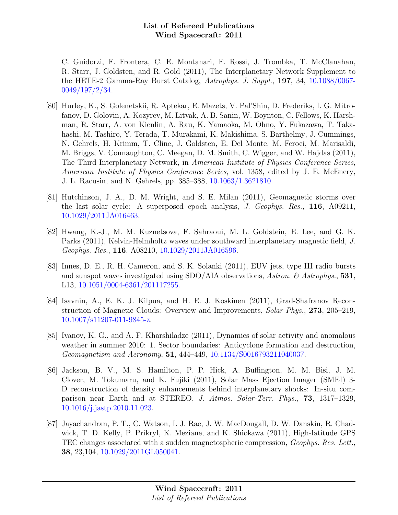C. Guidorzi, F. Frontera, C. E. Montanari, F. Rossi, J. Trombka, T. McClanahan, R. Starr, J. Goldsten, and R. Gold (2011), The Interplanetary Network Supplement to the HETE-2 Gamma-Ray Burst Catalog, Astrophys. J. Suppl., 197, 34, [10.1088/0067-](http://dx.doi.org/10.1088/0067-0049/197/2/34) [0049/197/2/34.](http://dx.doi.org/10.1088/0067-0049/197/2/34)

- [80] Hurley, K., S. Golenetskii, R. Aptekar, E. Mazets, V. Pal'Shin, D. Frederiks, I. G. Mitrofanov, D. Golovin, A. Kozyrev, M. Litvak, A. B. Sanin, W. Boynton, C. Fellows, K. Harshman, R. Starr, A. von Kienlin, A. Rau, K. Yamaoka, M. Ohno, Y. Fukazawa, T. Takahashi, M. Tashiro, Y. Terada, T. Murakami, K. Makishima, S. Barthelmy, J. Cummings, N. Gehrels, H. Krimm, T. Cline, J. Goldsten, E. Del Monte, M. Feroci, M. Marisaldi, M. Briggs, V. Connaughton, C. Meegan, D. M. Smith, C. Wigger, and W. Hajdas (2011), The Third Interplanetary Network, in American Institute of Physics Conference Series, American Institute of Physics Conference Series, vol. 1358, edited by J. E. McEnery, J. L. Racusin, and N. Gehrels, pp. 385–388, [10.1063/1.3621810.](http://dx.doi.org/10.1063/1.3621810)
- [81] Hutchinson, J. A., D. M. Wright, and S. E. Milan (2011), Geomagnetic storms over the last solar cycle: A superposed epoch analysis, J. Geophys. Res., 116, A09211, [10.1029/2011JA016463.](http://dx.doi.org/10.1029/2011JA016463)
- [82] Hwang, K.-J., M. M. Kuznetsova, F. Sahraoui, M. L. Goldstein, E. Lee, and G. K. Parks (2011), Kelvin-Helmholtz waves under southward interplanetary magnetic field, J. Geophys. Res., 116, A08210, [10.1029/2011JA016596.](http://dx.doi.org/10.1029/2011JA016596)
- [83] Innes, D. E., R. H. Cameron, and S. K. Solanki (2011), EUV jets, type III radio bursts and sunspot waves investigated using SDO/AIA observations, Astron.  $\&$  Astrophys., 531, L13, [10.1051/0004-6361/201117255.](http://dx.doi.org/10.1051/0004-6361/201117255)
- [84] Isavnin, A., E. K. J. Kilpua, and H. E. J. Koskinen (2011), Grad-Shafranov Reconstruction of Magnetic Clouds: Overview and Improvements, Solar Phys., 273, 205–219, [10.1007/s11207-011-9845-z.](http://dx.doi.org/10.1007/s11207-011-9845-z)
- [85] Ivanov, K. G., and A. F. Kharshiladze (2011), Dynamics of solar activity and anomalous weather in summer 2010: 1. Sector boundaries: Anticyclone formation and destruction, Geomagnetism and Aeronomy, 51, 444–449, [10.1134/S0016793211040037.](http://dx.doi.org/10.1134/S0016793211040037)
- [86] Jackson, B. V., M. S. Hamilton, P. P. Hick, A. Buffington, M. M. Bisi, J. M. Clover, M. Tokumaru, and K. Fujiki (2011), Solar Mass Ejection Imager (SMEI) 3- D reconstruction of density enhancements behind interplanetary shocks: In-situ comparison near Earth and at STEREO, J. Atmos. Solar-Terr. Phys., 73, 1317–1329, [10.1016/j.jastp.2010.11.023.](http://dx.doi.org/10.1016/j.jastp.2010.11.023)
- [87] Jayachandran, P. T., C. Watson, I. J. Rae, J. W. MacDougall, D. W. Danskin, R. Chadwick, T. D. Kelly, P. Prikryl, K. Meziane, and K. Shiokawa (2011), High-latitude GPS TEC changes associated with a sudden magnetospheric compression, Geophys. Res. Lett., 38, 23,104, [10.1029/2011GL050041.](http://dx.doi.org/10.1029/2011GL050041)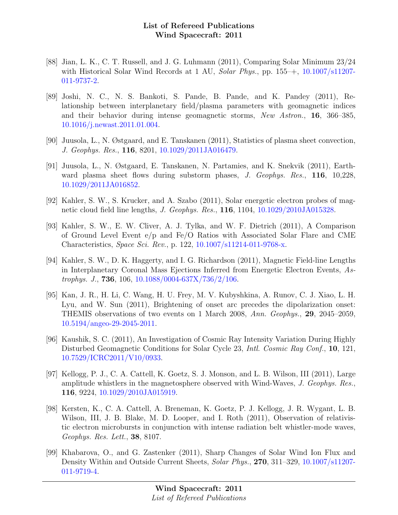- [88] Jian, L. K., C. T. Russell, and J. G. Luhmann (2011), Comparing Solar Minimum 23/24 with Historical Solar Wind Records at 1 AU, Solar Phys., pp. 155–+, [10.1007/s11207-](http://dx.doi.org/10.1007/s11207-011-9737-2) [011-9737-2.](http://dx.doi.org/10.1007/s11207-011-9737-2)
- [89] Joshi, N. C., N. S. Bankoti, S. Pande, B. Pande, and K. Pandey (2011), Relationship between interplanetary field/plasma parameters with geomagnetic indices and their behavior during intense geomagnetic storms, New Astron., 16, 366–385, [10.1016/j.newast.2011.01.004.](http://dx.doi.org/10.1016/j.newast.2011.01.004)
- [90] Juusola, L., N. Østgaard, and E. Tanskanen (2011), Statistics of plasma sheet convection, J. Geophys. Res., 116, 8201, [10.1029/2011JA016479.](http://dx.doi.org/10.1029/2011JA016479)
- [91] Juusola, L., N. Østgaard, E. Tanskanen, N. Partamies, and K. Snekvik (2011), Earthward plasma sheet flows during substorm phases, J. Geophys. Res., 116, 10,228, [10.1029/2011JA016852.](http://dx.doi.org/10.1029/2011JA016852)
- [92] Kahler, S. W., S. Krucker, and A. Szabo (2011), Solar energetic electron probes of magnetic cloud field line lengths, J. Geophys. Res., 116, 1104, [10.1029/2010JA015328.](http://dx.doi.org/10.1029/2010JA015328)
- [93] Kahler, S. W., E. W. Cliver, A. J. Tylka, and W. F. Dietrich (2011), A Comparison of Ground Level Event e/p and Fe/O Ratios with Associated Solar Flare and CME Characteristics, Space Sci. Rev., p. 122, [10.1007/s11214-011-9768-x.](http://dx.doi.org/10.1007/s11214-011-9768-x)
- [94] Kahler, S. W., D. K. Haggerty, and I. G. Richardson (2011), Magnetic Field-line Lengths in Interplanetary Coronal Mass Ejections Inferred from Energetic Electron Events, Astrophys. J., **736**, 106, [10.1088/0004-637X/736/2/106.](http://dx.doi.org/10.1088/0004-637X/736/2/106)
- [95] Kan, J. R., H. Li, C. Wang, H. U. Frey, M. V. Kubyshkina, A. Runov, C. J. Xiao, L. H. Lyu, and W. Sun (2011), Brightening of onset arc precedes the dipolarization onset: THEMIS observations of two events on 1 March 2008, Ann. Geophys., 29, 2045–2059, [10.5194/angeo-29-2045-2011.](http://dx.doi.org/10.5194/angeo-29-2045-2011)
- [96] Kaushik, S. C. (2011), An Investigation of Cosmic Ray Intensity Variation During Highly Disturbed Geomagnetic Conditions for Solar Cycle 23, *Intl. Cosmic Ray Conf.*, 10, 121, [10.7529/ICRC2011/V10/0933.](http://dx.doi.org/10.7529/ICRC2011/V10/0933)
- [97] Kellogg, P. J., C. A. Cattell, K. Goetz, S. J. Monson, and L. B. Wilson, III (2011), Large amplitude whistlers in the magnetosphere observed with Wind-Waves, J. Geophys. Res., 116, 9224, [10.1029/2010JA015919.](http://dx.doi.org/10.1029/2010JA015919)
- [98] Kersten, K., C. A. Cattell, A. Breneman, K. Goetz, P. J. Kellogg, J. R. Wygant, L. B. Wilson, III, J. B. Blake, M. D. Looper, and I. Roth (2011), Observation of relativistic electron microbursts in conjunction with intense radiation belt whistler-mode waves, Geophys. Res. Lett., 38, 8107.
- [99] Khabarova, O., and G. Zastenker (2011), Sharp Changes of Solar Wind Ion Flux and Density Within and Outside Current Sheets, Solar Phys., 270, 311–329, [10.1007/s11207-](http://dx.doi.org/10.1007/s11207-011-9719-4) [011-9719-4.](http://dx.doi.org/10.1007/s11207-011-9719-4)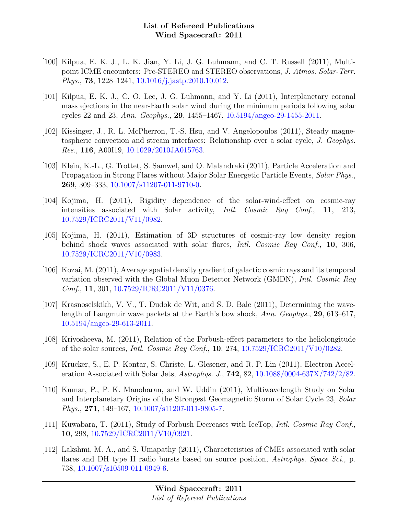- [100] Kilpua, E. K. J., L. K. Jian, Y. Li, J. G. Luhmann, and C. T. Russell (2011), Multipoint ICME encounters: Pre-STEREO and STEREO observations, J. Atmos. Solar-Terr. Phys., 73, 1228–1241, [10.1016/j.jastp.2010.10.012.](http://dx.doi.org/10.1016/j.jastp.2010.10.012)
- [101] Kilpua, E. K. J., C. O. Lee, J. G. Luhmann, and Y. Li (2011), Interplanetary coronal mass ejections in the near-Earth solar wind during the minimum periods following solar cycles 22 and 23, Ann. Geophys., 29, 1455–1467, [10.5194/angeo-29-1455-2011.](http://dx.doi.org/10.5194/angeo-29-1455-2011)
- [102] Kissinger, J., R. L. McPherron, T.-S. Hsu, and V. Angelopoulos (2011), Steady magnetospheric convection and stream interfaces: Relationship over a solar cycle, J. Geophys. Res., 116, A00I19, [10.1029/2010JA015763.](http://dx.doi.org/10.1029/2010JA015763)
- [103] Klein, K.-L., G. Trottet, S. Samwel, and O. Malandraki (2011), Particle Acceleration and Propagation in Strong Flares without Major Solar Energetic Particle Events, Solar Phys., 269, 309–333, [10.1007/s11207-011-9710-0.](http://dx.doi.org/10.1007/s11207-011-9710-0)
- [104] Kojima, H. (2011), Rigidity dependence of the solar-wind-effect on cosmic-ray intensities associated with Solar activity, Intl. Cosmic Ray Conf., 11, 213, [10.7529/ICRC2011/V11/0982.](http://dx.doi.org/10.7529/ICRC2011/V11/0982)
- [105] Kojima, H. (2011), Estimation of 3D structures of cosmic-ray low density region behind shock waves associated with solar flares, *Intl. Cosmic Ray Conf.*, 10, 306, [10.7529/ICRC2011/V10/0983.](http://dx.doi.org/10.7529/ICRC2011/V10/0983)
- [106] Kozai, M. (2011), Average spatial density gradient of galactic cosmic rays and its temporal variation observed with the Global Muon Detector Network (GMDN), Intl. Cosmic Ray Conf., 11, 301, [10.7529/ICRC2011/V11/0376.](http://dx.doi.org/10.7529/ICRC2011/V11/0376)
- [107] Krasnoselskikh, V. V., T. Dudok de Wit, and S. D. Bale (2011), Determining the wavelength of Langmuir wave packets at the Earth's bow shock, Ann. Geophys., 29, 613–617, [10.5194/angeo-29-613-2011.](http://dx.doi.org/10.5194/angeo-29-613-2011)
- [108] Krivosheeva, M. (2011), Relation of the Forbush-effect parameters to the heliolongitude of the solar sources, Intl. Cosmic Ray Conf., 10, 274, [10.7529/ICRC2011/V10/0282.](http://dx.doi.org/10.7529/ICRC2011/V10/0282)
- [109] Krucker, S., E. P. Kontar, S. Christe, L. Glesener, and R. P. Lin (2011), Electron Acceleration Associated with Solar Jets, Astrophys. J., **742**, 82, [10.1088/0004-637X/742/2/82.](http://dx.doi.org/10.1088/0004-637X/742/2/82)
- [110] Kumar, P., P. K. Manoharan, and W. Uddin (2011), Multiwavelength Study on Solar and Interplanetary Origins of the Strongest Geomagnetic Storm of Solar Cycle 23, Solar Phys., 271, 149–167, [10.1007/s11207-011-9805-7.](http://dx.doi.org/10.1007/s11207-011-9805-7)
- [111] Kuwabara, T. (2011), Study of Forbush Decreases with IceTop, *Intl. Cosmic Ray Conf.*, 10, 298, [10.7529/ICRC2011/V10/0921.](http://dx.doi.org/10.7529/ICRC2011/V10/0921)
- [112] Lakshmi, M. A., and S. Umapathy (2011), Characteristics of CMEs associated with solar flares and DH type II radio bursts based on source position, Astrophys. Space Sci., p. 738, [10.1007/s10509-011-0949-6.](http://dx.doi.org/10.1007/s10509-011-0949-6)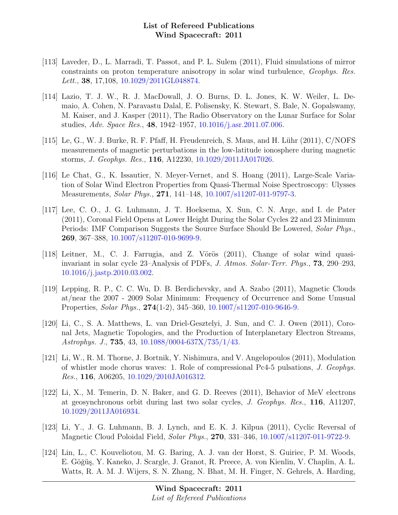- [113] Laveder, D., L. Marradi, T. Passot, and P. L. Sulem (2011), Fluid simulations of mirror constraints on proton temperature anisotropy in solar wind turbulence, Geophys. Res. Lett., 38, 17,108, [10.1029/2011GL048874.](http://dx.doi.org/10.1029/2011GL048874)
- [114] Lazio, T. J. W., R. J. MacDowall, J. O. Burns, D. L. Jones, K. W. Weiler, L. Demaio, A. Cohen, N. Paravastu Dalal, E. Polisensky, K. Stewart, S. Bale, N. Gopalswamy, M. Kaiser, and J. Kasper (2011), The Radio Observatory on the Lunar Surface for Solar studies, Adv. Space Res., 48, 1942–1957, [10.1016/j.asr.2011.07.006.](http://dx.doi.org/10.1016/j.asr.2011.07.006)
- [115] Le, G., W. J. Burke, R. F. Pfaff, H. Freudenreich, S. Maus, and H. Lühr  $(2011)$ , C/NOFS measurements of magnetic perturbations in the low-latitude ionosphere during magnetic storms, J. Geophys. Res., 116, A12230, [10.1029/2011JA017026.](http://dx.doi.org/10.1029/2011JA017026)
- [116] Le Chat, G., K. Issautier, N. Meyer-Vernet, and S. Hoang (2011), Large-Scale Variation of Solar Wind Electron Properties from Quasi-Thermal Noise Spectroscopy: Ulysses Measurements, Solar Phys., 271, 141–148, [10.1007/s11207-011-9797-3.](http://dx.doi.org/10.1007/s11207-011-9797-3)
- [117] Lee, C. O., J. G. Luhmann, J. T. Hoeksema, X. Sun, C. N. Arge, and I. de Pater (2011), Coronal Field Opens at Lower Height During the Solar Cycles 22 and 23 Minimum Periods: IMF Comparison Suggests the Source Surface Should Be Lowered, Solar Phys., 269, 367–388, [10.1007/s11207-010-9699-9.](http://dx.doi.org/10.1007/s11207-010-9699-9)
- $[118]$  Leitner, M., C. J. Farrugia, and Z. Vörös  $(2011)$ , Change of solar wind quasiinvariant in solar cycle 23–Analysis of PDFs, J. Atmos. Solar-Terr. Phys., 73, 290–293, [10.1016/j.jastp.2010.03.002.](http://dx.doi.org/10.1016/j.jastp.2010.03.002)
- [119] Lepping, R. P., C. C. Wu, D. B. Berdichevsky, and A. Szabo (2011), Magnetic Clouds at/near the 2007 - 2009 Solar Minimum: Frequency of Occurrence and Some Unusual Properties, Solar Phys., 274(1-2), 345–360, [10.1007/s11207-010-9646-9.](http://dx.doi.org/10.1007/s11207-010-9646-9)
- [120] Li, C., S. A. Matthews, L. van Driel-Gesztelyi, J. Sun, and C. J. Owen (2011), Coronal Jets, Magnetic Topologies, and the Production of Interplanetary Electron Streams, Astrophys. J., 735, 43, [10.1088/0004-637X/735/1/43.](http://dx.doi.org/10.1088/0004-637X/735/1/43)
- [121] Li, W., R. M. Thorne, J. Bortnik, Y. Nishimura, and V. Angelopoulos (2011), Modulation of whistler mode chorus waves: 1. Role of compressional Pc4-5 pulsations, J. Geophys. Res., 116, A06205, [10.1029/2010JA016312.](http://dx.doi.org/10.1029/2010JA016312)
- [122] Li, X., M. Temerin, D. N. Baker, and G. D. Reeves (2011), Behavior of MeV electrons at geosynchronous orbit during last two solar cycles, J. Geophys. Res., 116, A11207, [10.1029/2011JA016934.](http://dx.doi.org/10.1029/2011JA016934)
- [123] Li, Y., J. G. Luhmann, B. J. Lynch, and E. K. J. Kilpua (2011), Cyclic Reversal of Magnetic Cloud Poloidal Field, Solar Phys., 270, 331–346, [10.1007/s11207-011-9722-9.](http://dx.doi.org/10.1007/s11207-011-9722-9)
- [124] Lin, L., C. Kouveliotou, M. G. Baring, A. J. van der Horst, S. Guiriec, P. M. Woods, E. Göğüş, Y. Kaneko, J. Scargle, J. Granot, R. Preece, A. von Kienlin, V. Chaplin, A. L. Watts, R. A. M. J. Wijers, S. N. Zhang, N. Bhat, M. H. Finger, N. Gehrels, A. Harding,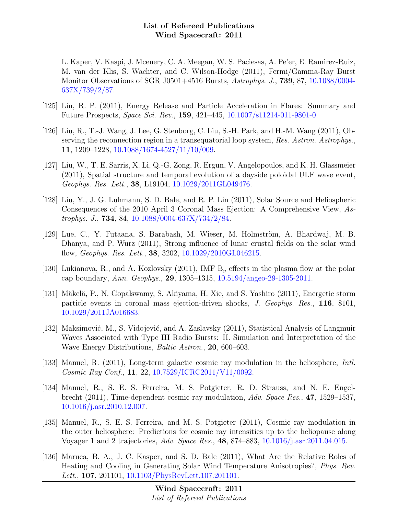L. Kaper, V. Kaspi, J. Mcenery, C. A. Meegan, W. S. Paciesas, A. Pe'er, E. Ramirez-Ruiz, M. van der Klis, S. Wachter, and C. Wilson-Hodge (2011), Fermi/Gamma-Ray Burst Monitor Observations of SGR J0501+4516 Bursts, Astrophys. J., 739, 87, [10.1088/0004-](http://dx.doi.org/10.1088/0004-637X/739/2/87) [637X/739/2/87.](http://dx.doi.org/10.1088/0004-637X/739/2/87)

- [125] Lin, R. P. (2011), Energy Release and Particle Acceleration in Flares: Summary and Future Prospects, Space Sci. Rev., 159, 421–445, [10.1007/s11214-011-9801-0.](http://dx.doi.org/10.1007/s11214-011-9801-0)
- [126] Liu, R., T.-J. Wang, J. Lee, G. Stenborg, C. Liu, S.-H. Park, and H.-M. Wang (2011), Observing the reconnection region in a transequatorial loop system, Res. Astron. Astrophys. 11, 1209–1228, [10.1088/1674-4527/11/10/009.](http://dx.doi.org/10.1088/1674-4527/11/10/009)
- [127] Liu, W., T. E. Sarris, X. Li, Q.-G. Zong, R. Ergun, V. Angelopoulos, and K. H. Glassmeier (2011), Spatial structure and temporal evolution of a dayside poloidal ULF wave event, Geophys. Res. Lett., 38, L19104, [10.1029/2011GL049476.](http://dx.doi.org/10.1029/2011GL049476)
- [128] Liu, Y., J. G. Luhmann, S. D. Bale, and R. P. Lin (2011), Solar Source and Heliospheric Consequences of the 2010 April 3 Coronal Mass Ejection: A Comprehensive View, Astrophys. J., 734, 84, [10.1088/0004-637X/734/2/84.](http://dx.doi.org/10.1088/0004-637X/734/2/84)
- [129] Lue, C., Y. Futaana, S. Barabash, M. Wieser, M. Holmström, A. Bhardwaj, M. B. Dhanya, and P. Wurz (2011), Strong influence of lunar crustal fields on the solar wind flow, Geophys. Res. Lett., 38, 3202, [10.1029/2010GL046215.](http://dx.doi.org/10.1029/2010GL046215)
- [130] Lukianova, R., and A. Kozlovsky (2011), IMF  $B<sub>y</sub>$  effects in the plasma flow at the polar cap boundary, Ann. Geophys., 29, 1305–1315, [10.5194/angeo-29-1305-2011.](http://dx.doi.org/10.5194/angeo-29-1305-2011)
- [131] Mäkelä, P., N. Gopalswamy, S. Akiyama, H. Xie, and S. Yashiro (2011), Energetic storm particle events in coronal mass ejection-driven shocks, J. Geophys. Res., 116, 8101, [10.1029/2011JA016683.](http://dx.doi.org/10.1029/2011JA016683)
- [132] Maksimović, M., S. Vidojević, and A. Zaslavsky (2011), Statistical Analysis of Langmuir Waves Associated with Type III Radio Bursts: II. Simulation and Interpretation of the Wave Energy Distributions, Baltic Astron., 20, 600–603.
- [133] Manuel, R. (2011), Long-term galactic cosmic ray modulation in the heliosphere, Intl. Cosmic Ray Conf., 11, 22, [10.7529/ICRC2011/V11/0092.](http://dx.doi.org/10.7529/ICRC2011/V11/0092)
- [134] Manuel, R., S. E. S. Ferreira, M. S. Potgieter, R. D. Strauss, and N. E. Engelbrecht (2011), Time-dependent cosmic ray modulation, Adv. Space Res., 47, 1529–1537, [10.1016/j.asr.2010.12.007.](http://dx.doi.org/10.1016/j.asr.2010.12.007)
- [135] Manuel, R., S. E. S. Ferreira, and M. S. Potgieter (2011), Cosmic ray modulation in the outer heliosphere: Predictions for cosmic ray intensities up to the heliopause along Voyager 1 and 2 trajectories, Adv. Space Res., 48, 874–883, [10.1016/j.asr.2011.04.015.](http://dx.doi.org/10.1016/j.asr.2011.04.015)
- [136] Maruca, B. A., J. C. Kasper, and S. D. Bale (2011), What Are the Relative Roles of Heating and Cooling in Generating Solar Wind Temperature Anisotropies?, Phys. Rev. Lett., 107, 201101, [10.1103/PhysRevLett.107.201101.](http://dx.doi.org/10.1103/PhysRevLett.107.201101)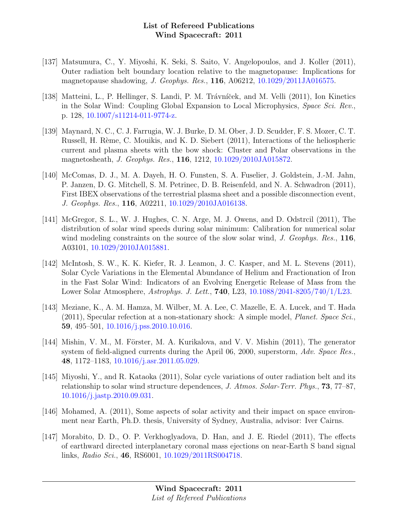- [137] Matsumura, C., Y. Miyoshi, K. Seki, S. Saito, V. Angelopoulos, and J. Koller (2011), Outer radiation belt boundary location relative to the magnetopause: Implications for magnetopause shadowing, J. Geophys. Res., 116, A06212, [10.1029/2011JA016575.](http://dx.doi.org/10.1029/2011JA016575)
- [138] Matteini, L., P. Hellinger, S. Landi, P. M. Trávníček, and M. Velli (2011), Ion Kinetics in the Solar Wind: Coupling Global Expansion to Local Microphysics, Space Sci. Rev., p. 128, [10.1007/s11214-011-9774-z.](http://dx.doi.org/10.1007/s11214-011-9774-z)
- [139] Maynard, N. C., C. J. Farrugia, W. J. Burke, D. M. Ober, J. D. Scudder, F. S. Mozer, C. T. Russell, H. Rème, C. Mouikis, and K. D. Siebert (2011), Interactions of the heliospheric current and plasma sheets with the bow shock: Cluster and Polar observations in the magnetosheath, J. Geophys. Res., 116, 1212, [10.1029/2010JA015872.](http://dx.doi.org/10.1029/2010JA015872)
- [140] McComas, D. J., M. A. Dayeh, H. O. Funsten, S. A. Fuselier, J. Goldstein, J.-M. Jahn, P. Janzen, D. G. Mitchell, S. M. Petrinec, D. B. Reisenfeld, and N. A. Schwadron (2011), First IBEX observations of the terrestrial plasma sheet and a possible disconnection event, J. Geophys. Res., 116, A02211, [10.1029/2010JA016138.](http://dx.doi.org/10.1029/2010JA016138)
- [141] McGregor, S. L., W. J. Hughes, C. N. Arge, M. J. Owens, and D. Odstrcil (2011), The distribution of solar wind speeds during solar minimum: Calibration for numerical solar wind modeling constraints on the source of the slow solar wind, J. Geophys. Res., 116, A03101, [10.1029/2010JA015881.](http://dx.doi.org/10.1029/2010JA015881)
- [142] McIntosh, S. W., K. K. Kiefer, R. J. Leamon, J. C. Kasper, and M. L. Stevens (2011), Solar Cycle Variations in the Elemental Abundance of Helium and Fractionation of Iron in the Fast Solar Wind: Indicators of an Evolving Energetic Release of Mass from the Lower Solar Atmosphere, Astrophys. J. Lett., 740, L23, [10.1088/2041-8205/740/1/L23.](http://dx.doi.org/10.1088/2041-8205/740/1/L23)
- [143] Meziane, K., A. M. Hamza, M. Wilber, M. A. Lee, C. Mazelle, E. A. Lucek, and T. Hada (2011), Specular refection at a non-stationary shock: A simple model, Planet. Space Sci., 59, 495–501, [10.1016/j.pss.2010.10.016.](http://dx.doi.org/10.1016/j.pss.2010.10.016)
- [144] Mishin, V. M., M. Förster, M. A. Kurikalova, and V. V. Mishin  $(2011)$ , The generator system of field-aligned currents during the April 06, 2000, superstorm, Adv. Space Res., 48, 1172–1183, [10.1016/j.asr.2011.05.029.](http://dx.doi.org/10.1016/j.asr.2011.05.029)
- [145] Miyoshi, Y., and R. Kataoka (2011), Solar cycle variations of outer radiation belt and its relationship to solar wind structure dependences, J. Atmos. Solar-Terr. Phys., 73, 77–87, [10.1016/j.jastp.2010.09.031.](http://dx.doi.org/10.1016/j.jastp.2010.09.031)
- [146] Mohamed, A. (2011), Some aspects of solar activity and their impact on space environment near Earth, Ph.D. thesis, University of Sydney, Australia, advisor: Iver Cairns.
- [147] Morabito, D. D., O. P. Verkhoglyadova, D. Han, and J. E. Riedel (2011), The effects of earthward directed interplanetary coronal mass ejections on near-Earth S band signal links, Radio Sci., 46, RS6001, [10.1029/2011RS004718.](http://dx.doi.org/10.1029/2011RS004718)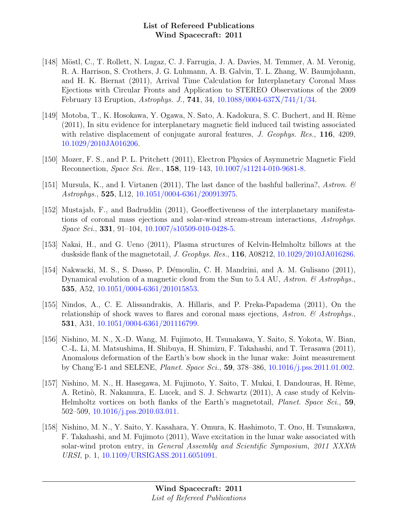- [148] Möstl, C., T. Rollett, N. Lugaz, C. J. Farrugia, J. A. Davies, M. Temmer, A. M. Veronig, R. A. Harrison, S. Crothers, J. G. Luhmann, A. B. Galvin, T. L. Zhang, W. Baumjohann, and H. K. Biernat (2011), Arrival Time Calculation for Interplanetary Coronal Mass Ejections with Circular Fronts and Application to STEREO Observations of the 2009 February 13 Eruption, Astrophys. J., 741, 34, [10.1088/0004-637X/741/1/34.](http://dx.doi.org/10.1088/0004-637X/741/1/34)
- [149] Motoba, T., K. Hosokawa, Y. Ogawa, N. Sato, A. Kadokura, S. C. Buchert, and H. Rème (2011), In situ evidence for interplanetary magnetic field induced tail twisting associated with relative displacement of conjugate auroral features, *J. Geophys. Res.*, **116**, 4209, [10.1029/2010JA016206.](http://dx.doi.org/10.1029/2010JA016206)
- [150] Mozer, F. S., and P. L. Pritchett (2011), Electron Physics of Asymmetric Magnetic Field Reconnection, Space Sci. Rev., 158, 119–143, [10.1007/s11214-010-9681-8.](http://dx.doi.org/10.1007/s11214-010-9681-8)
- [151] Mursula, K., and I. Virtanen (2011), The last dance of the bashful ballerina?, Astron.  $\mathcal C$ Astrophys., 525, L12, [10.1051/0004-6361/200913975.](http://dx.doi.org/10.1051/0004-6361/200913975)
- [152] Mustajab, F., and Badruddin (2011), Geoeffectiveness of the interplanetary manifestations of coronal mass ejections and solar-wind stream-stream interactions, Astrophys.  $Space\, Sci., 331, 91-104, 10.1007/s10509-010-0428-5.$  $Space\, Sci., 331, 91-104, 10.1007/s10509-010-0428-5.$
- [153] Nakai, H., and G. Ueno (2011), Plasma structures of Kelvin-Helmholtz billows at the duskside flank of the magnetotail, J. Geophys. Res., 116, A08212, [10.1029/2010JA016286.](http://dx.doi.org/10.1029/2010JA016286)
- [154] Nakwacki, M. S., S. Dasso, P. D´emoulin, C. H. Mandrini, and A. M. Gulisano (2011), Dynamical evolution of a magnetic cloud from the Sun to 5.4 AU, Astron.  $\mathcal{B}$  Astrophys. 535, A52, [10.1051/0004-6361/201015853.](http://dx.doi.org/10.1051/0004-6361/201015853)
- [155] Nindos, A., C. E. Alissandrakis, A. Hillaris, and P. Preka-Papadema (2011), On the relationship of shock waves to flares and coronal mass ejections, Astron.  $\mathcal{C}$  Astrophys. 531, A31, [10.1051/0004-6361/201116799.](http://dx.doi.org/10.1051/0004-6361/201116799)
- [156] Nishino, M. N., X.-D. Wang, M. Fujimoto, H. Tsunakawa, Y. Saito, S. Yokota, W. Bian, C.-L. Li, M. Matsushima, H. Shibuya, H. Shimizu, F. Takahashi, and T. Terasawa (2011), Anomalous deformation of the Earth's bow shock in the lunar wake: Joint measurement by Chang'E-1 and SELENE, Planet. Space Sci., 59, 378–386, [10.1016/j.pss.2011.01.002.](http://dx.doi.org/10.1016/j.pss.2011.01.002)
- [157] Nishino, M. N., H. Hasegawa, M. Fujimoto, Y. Saito, T. Mukai, I. Dandouras, H. Rème, A. Retinò, R. Nakamura, E. Lucek, and S. J. Schwartz (2011), A case study of Kelvin-Helmholtz vortices on both flanks of the Earth's magnetotail, Planet. Space Sci., 59, 502–509, [10.1016/j.pss.2010.03.011.](http://dx.doi.org/10.1016/j.pss.2010.03.011)
- [158] Nishino, M. N., Y. Saito, Y. Kasahara, Y. Omura, K. Hashimoto, T. Ono, H. Tsunakawa, F. Takahashi, and M. Fujimoto (2011), Wave excitation in the lunar wake associated with solar-wind proton entry, in *General Assembly and Scientific Symposium*, 2011 XXXth URSI, p. 1, [10.1109/URSIGASS.2011.6051091.](http://dx.doi.org/10.1109/URSIGASS.2011.6051091)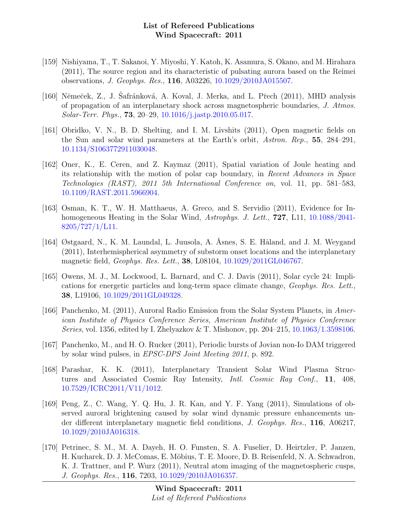- [159] Nishiyama, T., T. Sakanoi, Y. Miyoshi, Y. Katoh, K. Asamura, S. Okano, and M. Hirahara (2011), The source region and its characteristic of pulsating aurora based on the Reimei observations, J. Geophys. Res., 116, A03226, [10.1029/2010JA015507.](http://dx.doi.org/10.1029/2010JA015507)
- [160] Němeček, Z., J. Šafránková, A. Koval, J. Merka, and L. Přech (2011), MHD analysis of propagation of an interplanetary shock across magnetospheric boundaries, J. Atmos. Solar-Terr. Phys., 73, 20–29, [10.1016/j.jastp.2010.05.017.](http://dx.doi.org/10.1016/j.jastp.2010.05.017)
- [161] Obridko, V. N., B. D. Shelting, and I. M. Livshits (2011), Open magnetic fields on the Sun and solar wind parameters at the Earth's orbit, Astron. Rep., 55, 284–291, [10.1134/S1063772911030048.](http://dx.doi.org/10.1134/S1063772911030048)
- [162] Oner, K., E. Ceren, and Z. Kaymaz (2011), Spatial variation of Joule heating and its relationship with the motion of polar cap boundary, in Recent Advances in Space Technologies (RAST), 2011 5th International Conference on, vol. 11, pp. 581–583, [10.1109/RAST.2011.5966904.](http://dx.doi.org/10.1109/RAST.2011.5966904)
- [163] Osman, K. T., W. H. Matthaeus, A. Greco, and S. Servidio (2011), Evidence for Inhomogeneous Heating in the Solar Wind, Astrophys. J. Lett., **727**, L11, [10.1088/2041-](http://dx.doi.org/10.1088/2041-8205/727/1/L11)  $8205/727/1/L11$ .
- [164] Østgaard, N., K. M. Laundal, L. Juusola, A. Åsnes, S. E. Håland, and J. M. Weygand (2011), Interhemispherical asymmetry of substorm onset locations and the interplanetary magnetic field, Geophys. Res. Lett., 38, L08104, [10.1029/2011GL046767.](http://dx.doi.org/10.1029/2011GL046767)
- [165] Owens, M. J., M. Lockwood, L. Barnard, and C. J. Davis (2011), Solar cycle 24: Implications for energetic particles and long-term space climate change, Geophys. Res. Lett., 38, L19106, [10.1029/2011GL049328.](http://dx.doi.org/10.1029/2011GL049328)
- [166] Panchenko, M. (2011), Auroral Radio Emission from the Solar System Planets, in American Institute of Physics Conference Series, American Institute of Physics Conference Series, vol. 1356, edited by I. Zhelyazkov & T. Mishonov, pp. 204–215, [10.1063/1.3598106.](http://dx.doi.org/10.1063/1.3598106)
- [167] Panchenko, M., and H. O. Rucker (2011), Periodic bursts of Jovian non-Io DAM triggered by solar wind pulses, in EPSC-DPS Joint Meeting 2011, p. 892.
- [168] Parashar, K. K. (2011), Interplanetary Transient Solar Wind Plasma Structures and Associated Cosmic Ray Intensity, Intl. Cosmic Ray Conf., 11, 408, [10.7529/ICRC2011/V11/1012.](http://dx.doi.org/10.7529/ICRC2011/V11/1012)
- [169] Peng, Z., C. Wang, Y. Q. Hu, J. R. Kan, and Y. F. Yang (2011), Simulations of observed auroral brightening caused by solar wind dynamic pressure enhancements under different interplanetary magnetic field conditions, J. Geophys. Res., 116, A06217, [10.1029/2010JA016318.](http://dx.doi.org/10.1029/2010JA016318)
- [170] Petrinec, S. M., M. A. Dayeh, H. O. Funsten, S. A. Fuselier, D. Heirtzler, P. Janzen, H. Kucharek, D. J. McComas, E. Möbius, T. E. Moore, D. B. Reisenfeld, N. A. Schwadron, K. J. Trattner, and P. Wurz (2011), Neutral atom imaging of the magnetospheric cusps, J. Geophys. Res., 116, 7203, [10.1029/2010JA016357.](http://dx.doi.org/10.1029/2010JA016357)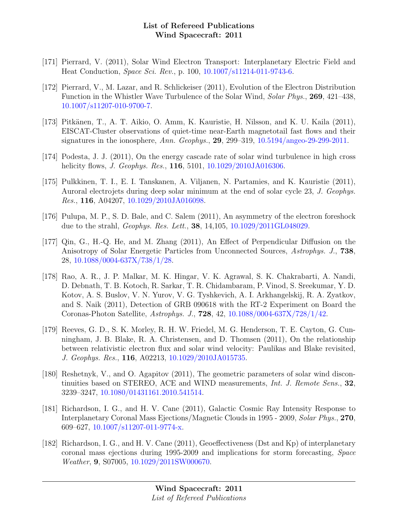- [171] Pierrard, V. (2011), Solar Wind Electron Transport: Interplanetary Electric Field and Heat Conduction, Space Sci. Rev., p. 100, [10.1007/s11214-011-9743-6.](http://dx.doi.org/10.1007/s11214-011-9743-6)
- [172] Pierrard, V., M. Lazar, and R. Schlickeiser (2011), Evolution of the Electron Distribution Function in the Whistler Wave Turbulence of the Solar Wind, Solar Phys., 269, 421–438, [10.1007/s11207-010-9700-7.](http://dx.doi.org/10.1007/s11207-010-9700-7)
- [173] Pitkänen, T., A. T. Aikio, O. Amm, K. Kauristie, H. Nilsson, and K. U. Kaila (2011), EISCAT-Cluster observations of quiet-time near-Earth magnetotail fast flows and their signatures in the ionosphere, Ann. Geophys., 29, 299–319,  $10.5194/{\rm angeo-29-299-2011}$ .
- [174] Podesta, J. J. (2011), On the energy cascade rate of solar wind turbulence in high cross helicity flows, *J. Geophys. Res.*, **116**, 5101, [10.1029/2010JA016306.](http://dx.doi.org/10.1029/2010JA016306)
- [175] Pulkkinen, T. I., E. I. Tanskanen, A. Viljanen, N. Partamies, and K. Kauristie (2011), Auroral electrojets during deep solar minimum at the end of solar cycle 23, J. Geophys. Res., 116, A04207, [10.1029/2010JA016098.](http://dx.doi.org/10.1029/2010JA016098)
- [176] Pulupa, M. P., S. D. Bale, and C. Salem (2011), An asymmetry of the electron foreshock due to the strahl, *Geophys. Res. Lett.*, **38**, 14, 105, [10.1029/2011GL048029.](http://dx.doi.org/10.1029/2011GL048029)
- [177] Qin, G., H.-Q. He, and M. Zhang (2011), An Effect of Perpendicular Diffusion on the Anisotropy of Solar Energetic Particles from Unconnected Sources, Astrophys. J., 738, 28, [10.1088/0004-637X/738/1/28.](http://dx.doi.org/10.1088/0004-637X/738/1/28)
- [178] Rao, A. R., J. P. Malkar, M. K. Hingar, V. K. Agrawal, S. K. Chakrabarti, A. Nandi, D. Debnath, T. B. Kotoch, R. Sarkar, T. R. Chidambaram, P. Vinod, S. Sreekumar, Y. D. Kotov, A. S. Buslov, V. N. Yurov, V. G. Tyshkevich, A. I. Arkhangelskij, R. A. Zyatkov, and S. Naik (2011), Detection of GRB 090618 with the RT-2 Experiment on Board the Coronas-Photon Satellite, Astrophys. J., 728, 42, [10.1088/0004-637X/728/1/42.](http://dx.doi.org/10.1088/0004-637X/728/1/42)
- [179] Reeves, G. D., S. K. Morley, R. H. W. Friedel, M. G. Henderson, T. E. Cayton, G. Cunningham, J. B. Blake, R. A. Christensen, and D. Thomsen (2011), On the relationship between relativistic electron flux and solar wind velocity: Paulikas and Blake revisited, J. Geophys. Res., 116, A02213, [10.1029/2010JA015735.](http://dx.doi.org/10.1029/2010JA015735)
- [180] Reshetnyk, V., and O. Agapitov (2011), The geometric parameters of solar wind discontinuities based on STEREO, ACE and WIND measurements, Int. J. Remote Sens., 32, 3239–3247, [10.1080/01431161.2010.541514.](http://dx.doi.org/10.1080/01431161.2010.541514)
- [181] Richardson, I. G., and H. V. Cane (2011), Galactic Cosmic Ray Intensity Response to Interplanetary Coronal Mass Ejections/Magnetic Clouds in 1995 - 2009, Solar Phys., 270, 609–627, [10.1007/s11207-011-9774-x.](http://dx.doi.org/10.1007/s11207-011-9774-x)
- [182] Richardson, I. G., and H. V. Cane (2011), Geoeffectiveness (Dst and Kp) of interplanetary coronal mass ejections during 1995-2009 and implications for storm forecasting, Space Weather, 9, S07005, [10.1029/2011SW000670.](http://dx.doi.org/10.1029/2011SW000670)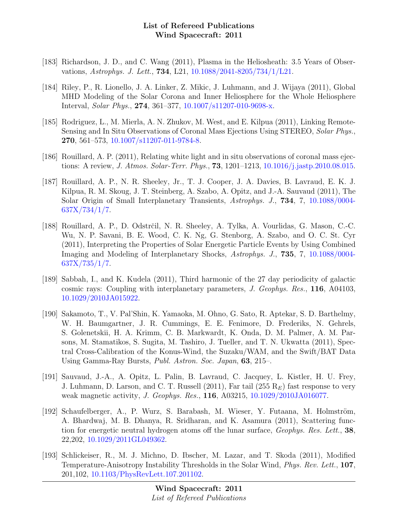- [183] Richardson, J. D., and C. Wang (2011), Plasma in the Heliosheath: 3.5 Years of Observations, Astrophys. J. Lett., 734, L21, [10.1088/2041-8205/734/1/L21.](http://dx.doi.org/10.1088/2041-8205/734/1/L21)
- [184] Riley, P., R. Lionello, J. A. Linker, Z. Mikic, J. Luhmann, and J. Wijaya (2011), Global MHD Modeling of the Solar Corona and Inner Heliosphere for the Whole Heliosphere Interval, Solar Phys., 274, 361–377, [10.1007/s11207-010-9698-x.](http://dx.doi.org/10.1007/s11207-010-9698-x)
- [185] Rodriguez, L., M. Mierla, A. N. Zhukov, M. West, and E. Kilpua (2011), Linking Remote-Sensing and In Situ Observations of Coronal Mass Ejections Using STEREO, Solar Phys., 270, 561–573, [10.1007/s11207-011-9784-8.](http://dx.doi.org/10.1007/s11207-011-9784-8)
- [186] Rouillard, A. P. (2011), Relating white light and in situ observations of coronal mass ejections: A review, J. Atmos. Solar-Terr. Phys., 73, 1201–1213, [10.1016/j.jastp.2010.08.015.](http://dx.doi.org/10.1016/j.jastp.2010.08.015)
- [187] Rouillard, A. P., N. R. Sheeley, Jr., T. J. Cooper, J. A. Davies, B. Lavraud, E. K. J. Kilpua, R. M. Skoug, J. T. Steinberg, A. Szabo, A. Opitz, and J.-A. Sauvaud (2011), The Solar Origin of Small Interplanetary Transients, Astrophys. J., 734, 7, [10.1088/0004-](http://dx.doi.org/10.1088/0004-637X/734/1/7)  $637X/734/1/7.$
- [188] Rouillard, A. P., D. Odstrčil, N. R. Sheeley, A. Tylka, A. Vourlidas, G. Mason, C.-C. Wu, N. P. Savani, B. E. Wood, C. K. Ng, G. Stenborg, A. Szabo, and O. C. St. Cyr (2011), Interpreting the Properties of Solar Energetic Particle Events by Using Combined Imaging and Modeling of Interplanetary Shocks, Astrophys. J., 735, 7, [10.1088/0004-](http://dx.doi.org/10.1088/0004-637X/735/1/7)  $637X/735/1/7.$
- [189] Sabbah, I., and K. Kudela (2011), Third harmonic of the 27 day periodicity of galactic cosmic rays: Coupling with interplanetary parameters, J. Geophys. Res., 116, A04103, [10.1029/2010JA015922.](http://dx.doi.org/10.1029/2010JA015922)
- [190] Sakamoto, T., V. Pal'Shin, K. Yamaoka, M. Ohno, G. Sato, R. Aptekar, S. D. Barthelmy, W. H. Baumgartner, J. R. Cummings, E. E. Fenimore, D. Frederiks, N. Gehrels, S. Golenetskii, H. A. Krimm, C. B. Markwardt, K. Onda, D. M. Palmer, A. M. Parsons, M. Stamatikos, S. Sugita, M. Tashiro, J. Tueller, and T. N. Ukwatta (2011), Spectral Cross-Calibration of the Konus-Wind, the Suzaku/WAM, and the Swift/BAT Data Using Gamma-Ray Bursts, Publ. Astron. Soc. Japan, 63, 215–.
- [191] Sauvaud, J.-A., A. Opitz, L. Palin, B. Lavraud, C. Jacquey, L. Kistler, H. U. Frey, J. Luhmann, D. Larson, and C. T. Russell (2011), Far tail (255  $R_E$ ) fast response to very weak magnetic activity, J. Geophys. Res., 116, A03215, [10.1029/2010JA016077.](http://dx.doi.org/10.1029/2010JA016077)
- [192] Schaufelberger, A., P. Wurz, S. Barabash, M. Wieser, Y. Futaana, M. Holmström, A. Bhardwaj, M. B. Dhanya, R. Sridharan, and K. Asamura (2011), Scattering function for energetic neutral hydrogen atoms off the lunar surface, Geophys. Res. Lett., 38, 22,202, [10.1029/2011GL049362.](http://dx.doi.org/10.1029/2011GL049362)
- [193] Schlickeiser, R., M. J. Michno, D. Ibscher, M. Lazar, and T. Skoda (2011), Modified Temperature-Anisotropy Instability Thresholds in the Solar Wind, Phys. Rev. Lett., 107, 201,102, [10.1103/PhysRevLett.107.201102.](http://dx.doi.org/10.1103/PhysRevLett.107.201102)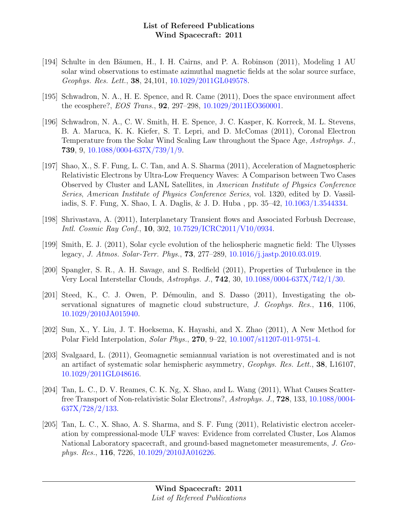- [194] Schulte in den Bäumen, H., I. H. Cairns, and P. A. Robinson (2011), Modeling 1 AU solar wind observations to estimate azimuthal magnetic fields at the solar source surface, Geophys. Res. Lett., 38, 24,101, [10.1029/2011GL049578.](http://dx.doi.org/10.1029/2011GL049578)
- [195] Schwadron, N. A., H. E. Spence, and R. Came (2011), Does the space environment affect the ecosphere?, EOS Trans., 92, 297–298, [10.1029/2011EO360001.](http://dx.doi.org/10.1029/2011EO360001)
- [196] Schwadron, N. A., C. W. Smith, H. E. Spence, J. C. Kasper, K. Korreck, M. L. Stevens, B. A. Maruca, K. K. Kiefer, S. T. Lepri, and D. McComas (2011), Coronal Electron Temperature from the Solar Wind Scaling Law throughout the Space Age, Astrophys. J., 739, 9, [10.1088/0004-637X/739/1/9.](http://dx.doi.org/10.1088/0004-637X/739/1/9)
- [197] Shao, X., S. F. Fung, L. C. Tan, and A. S. Sharma (2011), Acceleration of Magnetospheric Relativistic Electrons by Ultra-Low Frequency Waves: A Comparison between Two Cases Observed by Cluster and LANL Satellites, in American Institute of Physics Conference Series, American Institute of Physics Conference Series, vol. 1320, edited by D. Vassiliadis, S. F. Fung, X. Shao, I. A. Daglis, & J. D. Huba , pp. 35–42, [10.1063/1.3544334.](http://dx.doi.org/10.1063/1.3544334)
- [198] Shrivastava, A. (2011), Interplanetary Transient flows and Associated Forbush Decrease, Intl. Cosmic Ray Conf., 10, 302, [10.7529/ICRC2011/V10/0934.](http://dx.doi.org/10.7529/ICRC2011/V10/0934)
- [199] Smith, E. J. (2011), Solar cycle evolution of the heliospheric magnetic field: The Ulysses legacy, J. Atmos. Solar-Terr. Phys., 73, 277–289, [10.1016/j.jastp.2010.03.019.](http://dx.doi.org/10.1016/j.jastp.2010.03.019)
- [200] Spangler, S. R., A. H. Savage, and S. Redfield (2011), Properties of Turbulence in the Very Local Interstellar Clouds, Astrophys. J., 742, 30, [10.1088/0004-637X/742/1/30.](http://dx.doi.org/10.1088/0004-637X/742/1/30)
- [201] Steed, K., C. J. Owen, P. Démoulin, and S. Dasso  $(2011)$ , Investigating the observational signatures of magnetic cloud substructure, J. Geophys. Res., 116, 1106, [10.1029/2010JA015940.](http://dx.doi.org/10.1029/2010JA015940)
- [202] Sun, X., Y. Liu, J. T. Hoeksema, K. Hayashi, and X. Zhao (2011), A New Method for Polar Field Interpolation, Solar Phys., 270, 9–22, [10.1007/s11207-011-9751-4.](http://dx.doi.org/10.1007/s11207-011-9751-4)
- [203] Svalgaard, L. (2011), Geomagnetic semiannual variation is not overestimated and is not an artifact of systematic solar hemispheric asymmetry, Geophys. Res. Lett., 38, L16107, [10.1029/2011GL048616.](http://dx.doi.org/10.1029/2011GL048616)
- [204] Tan, L. C., D. V. Reames, C. K. Ng, X. Shao, and L. Wang (2011), What Causes Scatterfree Transport of Non-relativistic Solar Electrons?, Astrophys. J., 728, 133, [10.1088/0004-](http://dx.doi.org/10.1088/0004-637X/728/2/133) [637X/728/2/133.](http://dx.doi.org/10.1088/0004-637X/728/2/133)
- [205] Tan, L. C., X. Shao, A. S. Sharma, and S. F. Fung (2011), Relativistic electron acceleration by compressional-mode ULF waves: Evidence from correlated Cluster, Los Alamos National Laboratory spacecraft, and ground-based magnetometer measurements, J. Geophys. Res., 116, 7226, [10.1029/2010JA016226.](http://dx.doi.org/10.1029/2010JA016226)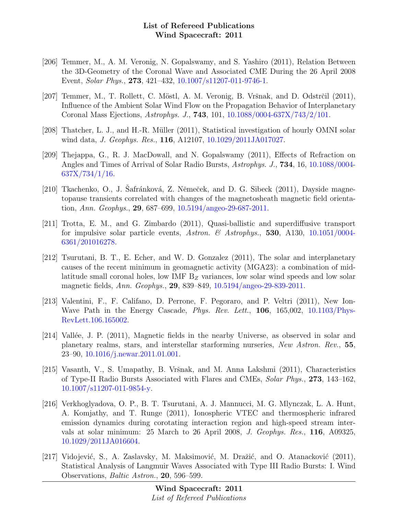- [206] Temmer, M., A. M. Veronig, N. Gopalswamy, and S. Yashiro (2011), Relation Between the 3D-Geometry of the Coronal Wave and Associated CME During the 26 April 2008 Event, Solar Phys., 273, 421–432, [10.1007/s11207-011-9746-1.](http://dx.doi.org/10.1007/s11207-011-9746-1)
- [207] Temmer, M., T. Rollett, C. Möstl, A. M. Veronig, B. Vršnak, and D. Odstrčil (2011), Influence of the Ambient Solar Wind Flow on the Propagation Behavior of Interplanetary Coronal Mass Ejections, Astrophys. J., 743, 101, [10.1088/0004-637X/743/2/101.](http://dx.doi.org/10.1088/0004-637X/743/2/101)
- [208] Thatcher, L. J., and H.-R. Müller (2011), Statistical investigation of hourly OMNI solar wind data, *J. Geophys. Res.*, **116**, A12107, [10.1029/2011JA017027.](http://dx.doi.org/10.1029/2011JA017027)
- [209] Thejappa, G., R. J. MacDowall, and N. Gopalswamy (2011), Effects of Refraction on Angles and Times of Arrival of Solar Radio Bursts, Astrophys. J., 734, 16, [10.1088/0004-](http://dx.doi.org/10.1088/0004-637X/734/1/16) [637X/734/1/16.](http://dx.doi.org/10.1088/0004-637X/734/1/16)
- [210] Tkachenko, O., J. Safránková, Z. Němeček, and D. G. Sibeck (2011), Dayside magnetopause transients correlated with changes of the magnetosheath magnetic field orientation, Ann. Geophys., 29, 687–699, [10.5194/angeo-29-687-2011.](http://dx.doi.org/10.5194/angeo-29-687-2011)
- [211] Trotta, E. M., and G. Zimbardo (2011), Quasi-ballistic and superdiffusive transport for impulsive solar particle events, Astron. & Astrophys., 530, A130, [10.1051/0004-](http://dx.doi.org/10.1051/0004-6361/201016278) [6361/201016278.](http://dx.doi.org/10.1051/0004-6361/201016278)
- [212] Tsurutani, B. T., E. Echer, and W. D. Gonzalez (2011), The solar and interplanetary causes of the recent minimum in geomagnetic activity (MGA23): a combination of midlatitude small coronal holes, low IMF  $B<sub>Z</sub>$  variances, low solar wind speeds and low solar magnetic fields, Ann. Geophys., 29, 839–849, [10.5194/angeo-29-839-2011.](http://dx.doi.org/10.5194/angeo-29-839-2011)
- [213] Valentini, F., F. Califano, D. Perrone, F. Pegoraro, and P. Veltri (2011), New Ion-Wave Path in the Energy Cascade, *Phys. Rev. Lett.*, **106**, 165,002, [10.1103/Phys-](http://dx.doi.org/10.1103/PhysRevLett.106.165002)[RevLett.106.165002.](http://dx.doi.org/10.1103/PhysRevLett.106.165002)
- [214] Vallée, J. P. (2011), Magnetic fields in the nearby Universe, as observed in solar and planetary realms, stars, and interstellar starforming nurseries, New Astron. Rev., 55, 23–90, [10.1016/j.newar.2011.01.001.](http://dx.doi.org/10.1016/j.newar.2011.01.001)
- [215] Vasanth, V., S. Umapathy, B. Vršnak, and M. Anna Lakshmi (2011), Characteristics of Type-II Radio Bursts Associated with Flares and CMEs, Solar Phys., 273, 143–162, [10.1007/s11207-011-9854-y.](http://dx.doi.org/10.1007/s11207-011-9854-y)
- [216] Verkhoglyadova, O. P., B. T. Tsurutani, A. J. Mannucci, M. G. Mlynczak, L. A. Hunt, A. Komjathy, and T. Runge (2011), Ionospheric VTEC and thermospheric infrared emission dynamics during corotating interaction region and high-speed stream intervals at solar minimum: 25 March to 26 April 2008, J. Geophys. Res., 116, A09325, [10.1029/2011JA016604.](http://dx.doi.org/10.1029/2011JA016604)
- [217] Vidojević, S., A. Zaslavsky, M. Maksimović, M. Dražić, and O. Atanacković (2011), Statistical Analysis of Langmuir Waves Associated with Type III Radio Bursts: I. Wind Observations, Baltic Astron., 20, 596–599.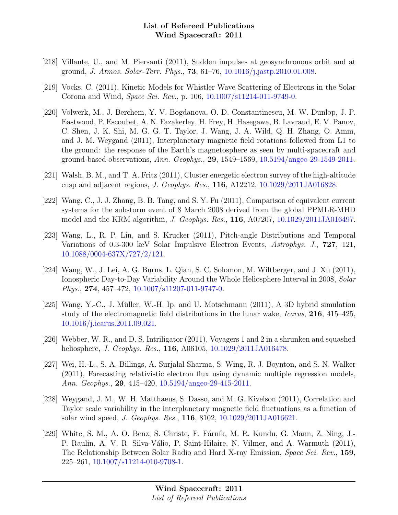- [218] Villante, U., and M. Piersanti (2011), Sudden impulses at geosynchronous orbit and at ground, J. Atmos. Solar-Terr. Phys., 73, 61–76, [10.1016/j.jastp.2010.01.008.](http://dx.doi.org/10.1016/j.jastp.2010.01.008)
- [219] Vocks, C. (2011), Kinetic Models for Whistler Wave Scattering of Electrons in the Solar Corona and Wind, Space Sci. Rev., p. 106, [10.1007/s11214-011-9749-0.](http://dx.doi.org/10.1007/s11214-011-9749-0)
- [220] Volwerk, M., J. Berchem, Y. V. Bogdanova, O. D. Constantinescu, M. W. Dunlop, J. P. Eastwood, P. Escoubet, A. N. Fazakerley, H. Frey, H. Hasegawa, B. Lavraud, E. V. Panov, C. Shen, J. K. Shi, M. G. G. T. Taylor, J. Wang, J. A. Wild, Q. H. Zhang, O. Amm, and J. M. Weygand (2011), Interplanetary magnetic field rotations followed from L1 to the ground: the response of the Earth's magnetosphere as seen by multi-spacecraft and ground-based observations, Ann. Geophys., 29, 1549–1569, [10.5194/angeo-29-1549-2011.](http://dx.doi.org/10.5194/angeo-29-1549-2011)
- [221] Walsh, B. M., and T. A. Fritz (2011), Cluster energetic electron survey of the high-altitude cusp and adjacent regions, J. Geophys. Res., 116, A12212, [10.1029/2011JA016828.](http://dx.doi.org/10.1029/2011JA016828)
- [222] Wang, C., J. J. Zhang, B. B. Tang, and S. Y. Fu (2011), Comparison of equivalent current systems for the substorm event of 8 March 2008 derived from the global PPMLR-MHD model and the KRM algorithm, J. Geophys. Res., 116, A07207, [10.1029/2011JA016497.](http://dx.doi.org/10.1029/2011JA016497)
- [223] Wang, L., R. P. Lin, and S. Krucker (2011), Pitch-angle Distributions and Temporal Variations of 0.3-300 keV Solar Impulsive Electron Events, Astrophys. J., 727, 121, [10.1088/0004-637X/727/2/121.](http://dx.doi.org/10.1088/0004-637X/727/2/121)
- [224] Wang, W., J. Lei, A. G. Burns, L. Qian, S. C. Solomon, M. Wiltberger, and J. Xu (2011), Ionospheric Day-to-Day Variability Around the Whole Heliosphere Interval in 2008, Solar Phys., 274, 457–472, [10.1007/s11207-011-9747-0.](http://dx.doi.org/10.1007/s11207-011-9747-0)
- [225] Wang, Y.-C., J. Müller, W.-H. Ip, and U. Motschmann  $(2011)$ , A 3D hybrid simulation study of the electromagnetic field distributions in the lunar wake, Icarus, 216, 415–425, [10.1016/j.icarus.2011.09.021.](http://dx.doi.org/10.1016/j.icarus.2011.09.021)
- [226] Webber, W. R., and D. S. Intriligator (2011), Voyagers 1 and 2 in a shrunken and squashed heliosphere, *J. Geophys. Res.*, **116**, A06105, [10.1029/2011JA016478.](http://dx.doi.org/10.1029/2011JA016478)
- [227] Wei, H.-L., S. A. Billings, A. Surjalal Sharma, S. Wing, R. J. Boynton, and S. N. Walker (2011), Forecasting relativistic electron flux using dynamic multiple regression models, Ann. Geophys., 29, 415–420, [10.5194/angeo-29-415-2011.](http://dx.doi.org/10.5194/angeo-29-415-2011)
- [228] Weygand, J. M., W. H. Matthaeus, S. Dasso, and M. G. Kivelson (2011), Correlation and Taylor scale variability in the interplanetary magnetic field fluctuations as a function of solar wind speed, J. Geophys. Res., 116, 8102, [10.1029/2011JA016621.](http://dx.doi.org/10.1029/2011JA016621)
- [229] White, S. M., A. O. Benz, S. Christe, F. Fárník, M. R. Kundu, G. Mann, Z. Ning, J.-P. Raulin, A. V. R. Silva-Válio, P. Saint-Hilaire, N. Vilmer, and A. Warmuth (2011), The Relationship Between Solar Radio and Hard X-ray Emission, Space Sci. Rev., 159, 225–261, [10.1007/s11214-010-9708-1.](http://dx.doi.org/10.1007/s11214-010-9708-1)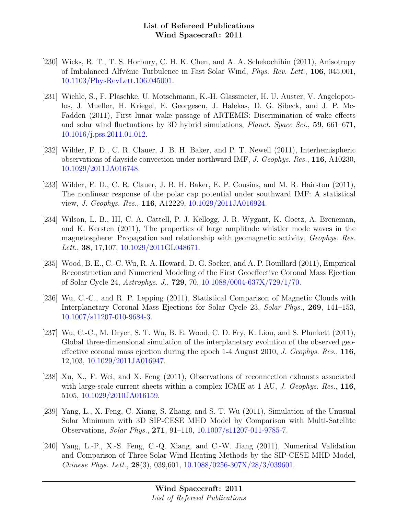- [230] Wicks, R. T., T. S. Horbury, C. H. K. Chen, and A. A. Schekochihin (2011), Anisotropy of Imbalanced Alfvénic Turbulence in Fast Solar Wind, *Phys. Rev. Lett.*, **106**, 045,001, [10.1103/PhysRevLett.106.045001.](http://dx.doi.org/10.1103/PhysRevLett.106.045001)
- [231] Wiehle, S., F. Plaschke, U. Motschmann, K.-H. Glassmeier, H. U. Auster, V. Angelopoulos, J. Mueller, H. Kriegel, E. Georgescu, J. Halekas, D. G. Sibeck, and J. P. Mc-Fadden (2011), First lunar wake passage of ARTEMIS: Discrimination of wake effects and solar wind fluctuations by 3D hybrid simulations, Planet. Space Sci., 59, 661–671, [10.1016/j.pss.2011.01.012.](http://dx.doi.org/10.1016/j.pss.2011.01.012)
- [232] Wilder, F. D., C. R. Clauer, J. B. H. Baker, and P. T. Newell (2011), Interhemispheric observations of dayside convection under northward IMF, J. Geophys. Res., 116, A10230, [10.1029/2011JA016748.](http://dx.doi.org/10.1029/2011JA016748)
- [233] Wilder, F. D., C. R. Clauer, J. B. H. Baker, E. P. Cousins, and M. R. Hairston (2011), The nonlinear response of the polar cap potential under southward IMF: A statistical view, J. Geophys. Res., 116, A12229, [10.1029/2011JA016924.](http://dx.doi.org/10.1029/2011JA016924)
- [234] Wilson, L. B., III, C. A. Cattell, P. J. Kellogg, J. R. Wygant, K. Goetz, A. Breneman, and K. Kersten (2011), The properties of large amplitude whistler mode waves in the magnetosphere: Propagation and relationship with geomagnetic activity, Geophys. Res. Lett., **38**, 17,107, [10.1029/2011GL048671.](http://dx.doi.org/10.1029/2011GL048671)
- [235] Wood, B. E., C.-C. Wu, R. A. Howard, D. G. Socker, and A. P. Rouillard (2011), Empirical Reconstruction and Numerical Modeling of the First Geoeffective Coronal Mass Ejection of Solar Cycle 24, Astrophys. J., 729, 70, [10.1088/0004-637X/729/1/70.](http://dx.doi.org/10.1088/0004-637X/729/1/70)
- [236] Wu, C.-C., and R. P. Lepping (2011), Statistical Comparison of Magnetic Clouds with Interplanetary Coronal Mass Ejections for Solar Cycle 23, Solar Phys., 269, 141–153, [10.1007/s11207-010-9684-3.](http://dx.doi.org/10.1007/s11207-010-9684-3)
- [237] Wu, C.-C., M. Dryer, S. T. Wu, B. E. Wood, C. D. Fry, K. Liou, and S. Plunkett (2011), Global three-dimensional simulation of the interplanetary evolution of the observed geoeffective coronal mass ejection during the epoch  $1-4$  August 2010, J. Geophys. Res., 116, 12,103, [10.1029/2011JA016947.](http://dx.doi.org/10.1029/2011JA016947)
- [238] Xu, X., F. Wei, and X. Feng (2011), Observations of reconnection exhausts associated with large-scale current sheets within a complex ICME at  $1 \text{ AU}$ , J. Geophys. Res., 116, 5105, [10.1029/2010JA016159.](http://dx.doi.org/10.1029/2010JA016159)
- [239] Yang, L., X. Feng, C. Xiang, S. Zhang, and S. T. Wu (2011), Simulation of the Unusual Solar Minimum with 3D SIP-CESE MHD Model by Comparison with Multi-Satellite Observations, Solar Phys., 271, 91–110, [10.1007/s11207-011-9785-7.](http://dx.doi.org/10.1007/s11207-011-9785-7)
- [240] Yang, L.-P., X.-S. Feng, C.-Q. Xiang, and C.-W. Jiang (2011), Numerical Validation and Comparison of Three Solar Wind Heating Methods by the SIP-CESE MHD Model, Chinese Phys. Lett.,  $28(3)$ , 039,601, [10.1088/0256-307X/28/3/039601.](http://dx.doi.org/10.1088/0256-307X/28/3/039601)